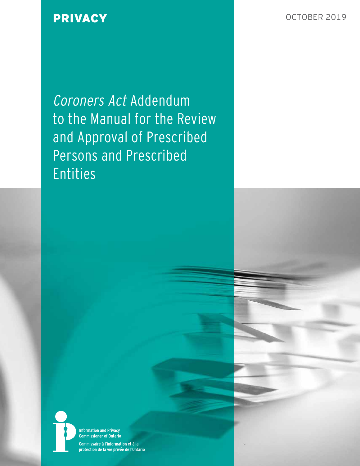PRIVACY **DRIVACY CONSUMING A REPORT OF A REPORT OF A REPORT OF A REPORT OF A REPORT OF A REPORT OF A REPORT OF A REPORT OF A REPORT OF A REPORT OF A REPORT OF A REPORT OF A REPORT OF A REPORT OF A REPORT OF A REPORT OF A** 

Coroners Act Addendum to the Manual for the Review and Approval of Prescribed Persons and Prescribed Entities



**Information and Privacy Commissioner of Ontario** Commissaire à l'information et à la protection de la vie privée de l'Ontario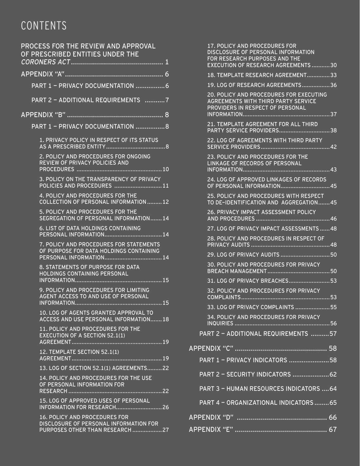# CONTENTS

| PROCESS FOR THE REVIEW AND APPROVAL<br>OF PRESCRIBED ENTITIES UNDER THE                                    |  |
|------------------------------------------------------------------------------------------------------------|--|
|                                                                                                            |  |
| PART 1 - PRIVACY DOCUMENTATION 6                                                                           |  |
| PART 2 - ADDITIONAL REQUIREMENTS 7                                                                         |  |
| <u>APPENDIX "B" ……………………………………………… 8</u>                                                                   |  |
| PART 1 - PRIVACY DOCUMENTATION 8                                                                           |  |
| 1. PRIVACY POLICY IN RESPECT OF ITS STATUS                                                                 |  |
| 2. POLICY AND PROCEDURES FOR ONGOING<br>REVIEW OF PRIVACY POLICIES AND                                     |  |
| 3. POLICY ON THE TRANSPARENCY OF PRIVACY<br>POLICIES AND PROCEDURES 11                                     |  |
| 4. POLICY AND PROCEDURES FOR THE<br><b>COLLECTION OF PERSONAL INFORMATION 12</b>                           |  |
| 5. POLICY AND PROCEDURES FOR THE<br>SEGREGATION OF PERSONAL INFORMATION14                                  |  |
| <b>6. LIST OF DATA HOLDINGS CONTAINING</b>                                                                 |  |
| 7. POLICY AND PROCEDURES FOR STATEMENTS<br>OF PURPOSE FOR DATA HOLDINGS CONTAINING                         |  |
| 8. STATEMENTS OF PURPOSE FOR DATA<br>HOLDINGS CONTAINING PERSONAL                                          |  |
| 9. POLICY AND PROCEDURES FOR LIMITING<br>AGENT ACCESS TO AND USE OF PERSONAL                               |  |
| 10. LOG OF AGENTS GRANTED APPROVAL TO<br>ACCESS AND USE PERSONAL INFORMATION18                             |  |
| 11. POLICY AND PROCEDURES FOR THE<br><b>EXECUTION OF A SECTION 52.1(1)</b><br><b>AGREEMENT</b>             |  |
| 12. TEMPLATE SECTION 52.1(1)                                                                               |  |
| 13. LOG OF SECTION 52.1(1) AGREEMENTS22                                                                    |  |
| 14. POLICY AND PROCEDURES FOR THE USE<br>OF PERSONAL INFORMATION FOR<br>. 22<br>RESEARCH<br>               |  |
| 15. LOG OF APPROVED USES OF PERSONAL                                                                       |  |
| 16. POLICY AND PROCEDURES FOR<br>DISCLOSURE OF PERSONAL INFORMATION FOR<br>PURPOSES OTHER THAN RESEARCH 27 |  |

| 17. POLICY AND PROCEDURES FOR<br>DISCLOSURE OF PERSONAL INFORMATION<br>FOR RESEARCH PURPOSES AND THE<br><b>EXECUTION OF RESEARCH AGREEMENTS30</b>     |                  |
|-------------------------------------------------------------------------------------------------------------------------------------------------------|------------------|
| 18. TEMPLATE RESEARCH AGREEMENT33                                                                                                                     |                  |
| 19. LOG OF RESEARCH AGREEMENTS36                                                                                                                      |                  |
| <b>20. POLICY AND PROCEDURES FOR EXECUTING</b><br><b>AGREEMENTS WITH THIRD PARTY SERVICE</b><br>PROVIDERS IN RESPECT OF PERSONAL<br>37<br>INFORMATION |                  |
| 21. TEMPLATE AGREEMENT FOR ALL THIRD<br>PARTY SERVICE PROVIDERS                                                                                       | $\overline{}$ 38 |
| 22. LOG OF AGREEMENTS WITH THIRD PARTY                                                                                                                |                  |
| 23. POLICY AND PROCEDURES FOR THE<br>LINKAGE OF RECORDS OF PERSONAL<br>INFORMATION                                                                    | .43              |
| 24. LOG OF APPROVED LINKAGES OF RECORDS<br>OF PERSONAL INFORMATION                                                                                    | 45               |
| 25. POLICY AND PROCEDURES WITH RESPECT<br>TO DE-IDENTIFICATION AND AGGREGATION45                                                                      |                  |
| <b>26. PRIVACY IMPACT ASSESSMENT POLICY</b><br><b>AND PROCEDURES</b>                                                                                  | …46              |
| 27. LOG OF PRIVACY IMPACT ASSESSMENTS  48                                                                                                             |                  |
| 28. POLICY AND PROCEDURES IN RESPECT OF<br><b>PRIVACY AUDITS </b>                                                                                     |                  |
|                                                                                                                                                       |                  |
| 30. POLICY AND PROCEDURES FOR PRIVACY                                                                                                                 |                  |
| 31. LOG OF PRIVACY BREACHES53                                                                                                                         |                  |
| 32. POLICY AND PROCEDURES FOR PRIVACY<br>COMPLAINTS                                                                                                   | 53               |
| 33. LOG OF PRIVACY COMPLAINTS 55                                                                                                                      |                  |
| 34. POLICY AND PROCEDURES FOR PRIVACY<br><u>INQUIRIES</u>                                                                                             | 56               |
| PART 2 - ADDITIONAL REQUIREMENTS 57                                                                                                                   |                  |
|                                                                                                                                                       |                  |
| PART 1 - PRIVACY INDICATORS 58                                                                                                                        |                  |
| PART 2 - SECURITY INDICATORS  62                                                                                                                      |                  |
| PART 3 - HUMAN RESOURCES INDICATORS  64                                                                                                               |                  |
| PART 4 - ORGANIZATIONAL INDICATORS  65                                                                                                                |                  |
| <u>APPENDIX "D" …………………………………………… 66</u>                                                                                                              |                  |
|                                                                                                                                                       |                  |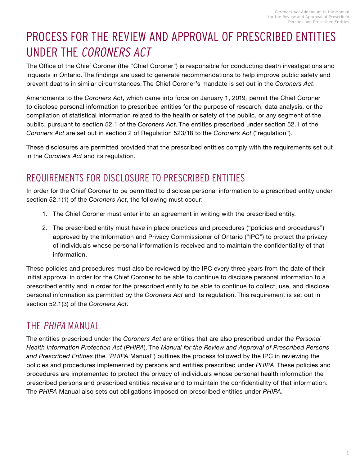# <span id="page-2-0"></span>PROCESS FOR THE REVIEW AND APPROVAL OF PRESCRIBED ENTITIES UNDER THE CORONERS ACT

The Office of the Chief Coroner (the "Chief Coroner") is responsible for conducting death investigations and inquests in Ontario. The findings are used to generate recommendations to help improve public safety and prevent deaths in similar circumstances. The Chief Coroner's mandate is set out in the *Coroners Act*.

Amendments to the *Coroners Act*, which came into force on January 1, 2019*,* permit the Chief Coroner to disclose personal information to prescribed entities for the purpose of research, data analysis, or the compilation of statistical information related to the health or safety of the public, or any segment of the public, pursuant to section 52.1 of the *Coroners Act*. The entities prescribed under section 52.1 of the *Coroners Act* are set out in section 2 of Regulation 523/18 to the *Coroners Act* ("regulation")*.*

These disclosures are permitted provided that the prescribed entities comply with the requirements set out in the *Coroners Act* and its regulation.

## REQUIREMENTS FOR DISCLOSURE TO PRESCRIBED ENTITIES

In order for the Chief Coroner to be permitted to disclose personal information to a prescribed entity under section 52.1(1) of the *Coroners Act*, the following must occur:

- 1. The Chief Coroner must enter into an agreement in writing with the prescribed entity.
- 2. The prescribed entity must have in place practices and procedures ("policies and procedures") approved by the Information and Privacy Commissioner of Ontario ("IPC") to protect the privacy of individuals whose personal information is received and to maintain the confidentiality of that information.

These policies and procedures must also be reviewed by the IPC every three years from the date of their initial approval in order for the Chief Coroner to be able to continue to disclose personal information to a prescribed entity and in order for the prescribed entity to be able to continue to collect, use, and disclose personal information as permitted by the *Coroners Act* and its regulation. This requirement is set out in section 52.1(3) of the *Coroners Act*.

## THE PHIPA MANUAL

The entities prescribed under the *Coroners Act* are entities that are also prescribed under the *Personal Health Information Protection Act* (*PHIPA*). The *Manual for the Review and Approval of Prescribed Persons and Prescribed Entities* (the "*PHIPA* Manual") outlines the process followed by the IPC in reviewing the policies and procedures implemented by persons and entities prescribed under *PHIPA*. These policies and procedures are implemented to protect the privacy of individuals whose personal health information the prescribed persons and prescribed entities receive and to maintain the confidentiality of that information. The *PHIPA* Manual also sets out obligations imposed on prescribed entities under *PHIPA*.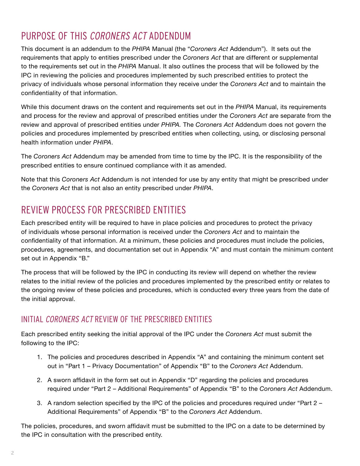## PURPOSE OF THIS CORONERS ACT ADDENDUM

This document is an addendum to the *PHIPA* Manual (the "*Coroners Act* Addendum"). It sets out the requirements that apply to entities prescribed under the *Coroners Act* that are different or supplemental to the requirements set out in the *PHIPA* Manual. It also outlines the process that will be followed by the IPC in reviewing the policies and procedures implemented by such prescribed entities to protect the privacy of individuals whose personal information they receive under the *Coroners Act* and to maintain the confidentiality of that information.

While this document draws on the content and requirements set out in the *PHIPA* Manual, its requirements and process for the review and approval of prescribed entities under the *Coroners Act* are separate from the review and approval of prescribed entities under *PHIPA.* The *Coroners Act* Addendum does not govern the policies and procedures implemented by prescribed entities when collecting, using, or disclosing personal health information under *PHIPA*.

The *Coroners Act* Addendum may be amended from time to time by the IPC. It is the responsibility of the prescribed entities to ensure continued compliance with it as amended.

Note that this *Coroners Act* Addendum is not intended for use by any entity that might be prescribed under the *Coroners Act* that is not also an entity prescribed under *PHIPA*.

## REVIEW PROCESS FOR PRESCRIBED ENTITIES

Each prescribed entity will be required to have in place policies and procedures to protect the privacy of individuals whose personal information is received under the *Coroners Act* and to maintain the confidentiality of that information. At a minimum, these policies and procedures must include the policies, procedures, agreements, and documentation set out in Appendix "A" and must contain the minimum content set out in Appendix "B."

The process that will be followed by the IPC in conducting its review will depend on whether the review relates to the initial review of the policies and procedures implemented by the prescribed entity or relates to the ongoing review of these policies and procedures, which is conducted every three years from the date of the initial approval.

## INITIAL CORONERS ACT REVIEW OF THE PRESCRIBED ENTITIES

Each prescribed entity seeking the initial approval of the IPC under the *Coroners Act* must submit the following to the IPC:

- 1. The policies and procedures described in Appendix "A" and containing the minimum content set out in "Part 1 – Privacy Documentation" of Appendix "B" to the *Coroners Act* Addendum.
- 2. A sworn affidavit in the form set out in Appendix "D" regarding the policies and procedures required under "Part 2 – Additional Requirements" of Appendix "B" to the *Coroners Act* Addendum.
- 3. A random selection specified by the IPC of the policies and procedures required under "Part 2 Additional Requirements" of Appendix "B" to the *Coroners Act* Addendum.

The policies, procedures, and sworn affidavit must be submitted to the IPC on a date to be determined by the IPC in consultation with the prescribed entity.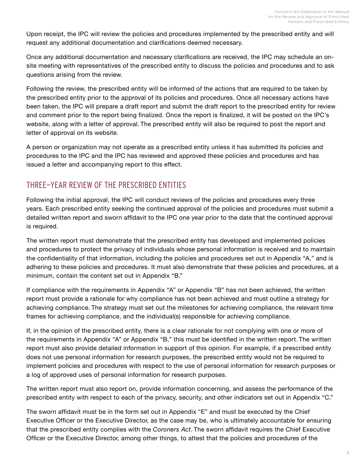Upon receipt, the IPC will review the policies and procedures implemented by the prescribed entity and will request any additional documentation and clarifications deemed necessary.

Once any additional documentation and necessary clarifications are received, the IPC may schedule an onsite meeting with representatives of the prescribed entity to discuss the policies and procedures and to ask questions arising from the review.

Following the review, the prescribed entity will be informed of the actions that are required to be taken by the prescribed entity prior to the approval of its policies and procedures. Once all necessary actions have been taken, the IPC will prepare a draft report and submit the draft report to the prescribed entity for review and comment prior to the report being finalized. Once the report is finalized, it will be posted on the IPC's website, along with a letter of approval. The prescribed entity will also be required to post the report and letter of approval on its website.

A person or organization may not operate as a prescribed entity unless it has submitted its policies and procedures to the IPC and the IPC has reviewed and approved these policies and procedures and has issued a letter and accompanying report to this effect.

## THREE-YEAR REVIEW OF THE PRESCRIBED ENTITIES

Following the initial approval, the IPC will conduct reviews of the policies and procedures every three years. Each prescribed entity seeking the continued approval of the policies and procedures must submit a detailed written report and sworn affidavit to the IPC one year prior to the date that the continued approval is required.

The written report must demonstrate that the prescribed entity has developed and implemented policies and procedures to protect the privacy of individuals whose personal information is received and to maintain the confidentiality of that information, including the policies and procedures set out in Appendix "A," and is adhering to these policies and procedures. It must also demonstrate that these policies and procedures, at a minimum, contain the content set out in Appendix "B."

If compliance with the requirements in Appendix "A" or Appendix "B" has not been achieved, the written report must provide a rationale for why compliance has not been achieved and must outline a strategy for achieving compliance. The strategy must set out the milestones for achieving compliance, the relevant time frames for achieving compliance, and the individual(s) responsible for achieving compliance.

If, in the opinion of the prescribed entity, there is a clear rationale for not complying with one or more of the requirements in Appendix "A" or Appendix "B," this must be identified in the written report. The written report must also provide detailed information in support of this opinion. For example, if a prescribed entity does not use personal information for research purposes, the prescribed entity would not be required to implement policies and procedures with respect to the use of personal information for research purposes or a log of approved uses of personal information for research purposes.

The written report must also report on, provide information concerning, and assess the performance of the prescribed entity with respect to each of the privacy, security, and other indicators set out in Appendix "C."

The sworn affidavit must be in the form set out in Appendix "E" and must be executed by the Chief Executive Officer or the Executive Director, as the case may be, who is ultimately accountable for ensuring that the prescribed entity complies with the *Coroners Act*. The sworn affidavit requires the Chief Executive Officer or the Executive Director, among other things, to attest that the policies and procedures of the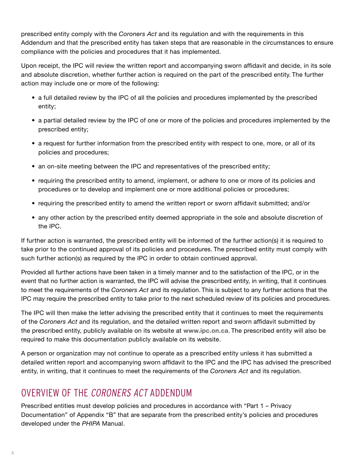prescribed entity comply with the *Coroners Act* and its regulation and with the requirements in this Addendum and that the prescribed entity has taken steps that are reasonable in the circumstances to ensure compliance with the policies and procedures that it has implemented.

Upon receipt, the IPC will review the written report and accompanying sworn affidavit and decide, in its sole and absolute discretion, whether further action is required on the part of the prescribed entity. The further action may include one or more of the following:

- a full detailed review by the IPC of all the policies and procedures implemented by the prescribed entity;
- a partial detailed review by the IPC of one or more of the policies and procedures implemented by the prescribed entity;
- a request for further information from the prescribed entity with respect to one, more, or all of its policies and procedures;
- an on-site meeting between the IPC and representatives of the prescribed entity;
- requiring the prescribed entity to amend, implement, or adhere to one or more of its policies and procedures or to develop and implement one or more additional policies or procedures;
- requiring the prescribed entity to amend the written report or sworn affidavit submitted; and/or
- any other action by the prescribed entity deemed appropriate in the sole and absolute discretion of the IPC.

If further action is warranted, the prescribed entity will be informed of the further action(s) it is required to take prior to the continued approval of its policies and procedures. The prescribed entity must comply with such further action(s) as required by the IPC in order to obtain continued approval.

Provided all further actions have been taken in a timely manner and to the satisfaction of the IPC, or in the event that no further action is warranted, the IPC will advise the prescribed entity, in writing, that it continues to meet the requirements of the *Coroners Act* and its regulation. This is subject to any further actions that the IPC may require the prescribed entity to take prior to the next scheduled review of its policies and procedures.

The IPC will then make the letter advising the prescribed entity that it continues to meet the requirements of the *Coroners Act* and its regulation, and the detailed written report and sworn affidavit submitted by the prescribed entity, publicly available on its website at **[www.ipc.on.ca](http://www.ipc.on.ca/)**. The prescribed entity will also be required to make this documentation publicly available on its website.

A person or organization may not continue to operate as a prescribed entity unless it has submitted a detailed written report and accompanying sworn affidavit to the IPC and the IPC has advised the prescribed entity, in writing, that it continues to meet the requirements of the *Coroners Act* and its regulation.

## OVERVIEW OF THE CORONERS ACT ADDENDUM

Prescribed entities must develop policies and procedures in accordance with "Part 1 – Privacy Documentation" of Appendix "B" that are separate from the prescribed entity's policies and procedures developed under the *PHIPA* Manual.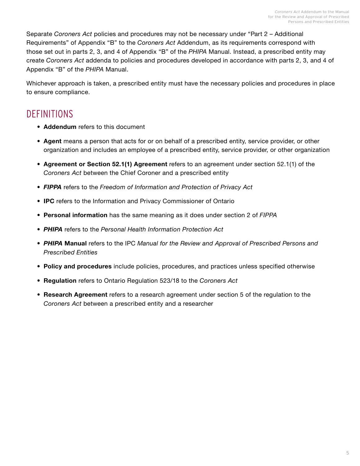Separate *Coroners Act* policies and procedures may not be necessary under "Part 2 – Additional Requirements" of Appendix "B" to the *Coroners Act* Addendum, as its requirements correspond with those set out in parts 2, 3, and 4 of Appendix "B" of the *PHIPA* Manual. Instead, a prescribed entity may create *Coroners Act* addenda to policies and procedures developed in accordance with parts 2, 3, and 4 of Appendix "B" of the *PHIPA* Manual.

Whichever approach is taken, a prescribed entity must have the necessary policies and procedures in place to ensure compliance.

## **DEFINITIONS**

- **• Addendum** refers to this document
- **• Agent** means a person that acts for or on behalf of a prescribed entity, service provider, or other organization and includes an employee of a prescribed entity, service provider, or other organization
- **• Agreement or Section 52.1(1) Agreement** refers to an agreement under section 52.1(1) of the *Coroners Act* between the Chief Coroner and a prescribed entity
- *• FIPPA* refers to the *Freedom of Information and Protection of Privacy Act*
- **• IPC** refers to the Information and Privacy Commissioner of Ontario
- **• Personal information** has the same meaning as it does under section 2 of *FIPPA*
- *• PHIPA* refers to the *Personal Health Information Protection Act*
- *• PHIPA* **Manual** refers to the IPC *Manual for the Review and Approval of Prescribed Persons and Prescribed Entities*
- **• Policy and procedures** include policies, procedures, and practices unless specified otherwise
- **• Regulation** refers to Ontario Regulation 523/18 to the *Coroners Act*
- **• Research Agreement** refers to a research agreement under section 5 of the regulation to the *Coroners Act* between a prescribed entity and a researcher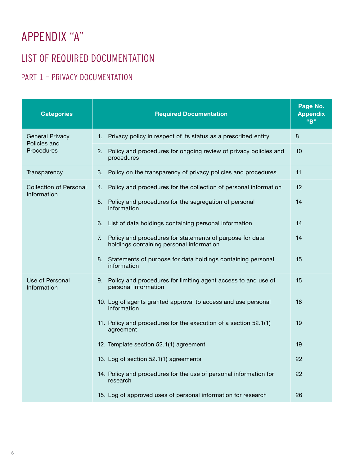# <span id="page-7-0"></span>APPENDIX "A"

## LIST OF REQUIRED DOCUMENTATION

## PART 1 - PRIVACY DOCUMENTATION

| <b>Categories</b>                                           | <b>Required Documentation</b>                                                                              | Page No.<br><b>Appendix</b><br>"B" |
|-------------------------------------------------------------|------------------------------------------------------------------------------------------------------------|------------------------------------|
| <b>General Privacy</b><br>Policies and<br><b>Procedures</b> | Privacy policy in respect of its status as a prescribed entity<br>1.                                       | 8                                  |
|                                                             | Policy and procedures for ongoing review of privacy policies and<br>2.<br>procedures                       | 10                                 |
| Transparency                                                | Policy on the transparency of privacy policies and procedures<br>3.                                        | 11                                 |
| <b>Collection of Personal</b><br>Information                | Policy and procedures for the collection of personal information<br>4.                                     | 12                                 |
|                                                             | Policy and procedures for the segregation of personal<br>5.<br>information                                 | 14                                 |
|                                                             | 6. List of data holdings containing personal information                                                   | 14                                 |
|                                                             | Policy and procedures for statements of purpose for data<br>7.<br>holdings containing personal information | 14                                 |
|                                                             | 8. Statements of purpose for data holdings containing personal<br>information                              | 15                                 |
| Use of Personal<br>Information                              | 9. Policy and procedures for limiting agent access to and use of<br>personal information                   | 15                                 |
|                                                             | 10. Log of agents granted approval to access and use personal<br>information                               | 18                                 |
|                                                             | 11. Policy and procedures for the execution of a section 52.1(1)<br>agreement                              | 19                                 |
|                                                             | 12. Template section 52.1(1) agreement                                                                     | 19                                 |
|                                                             | 13. Log of section 52.1(1) agreements                                                                      | 22                                 |
|                                                             | 14. Policy and procedures for the use of personal information for<br>research                              | 22                                 |
|                                                             | 15. Log of approved uses of personal information for research                                              | 26                                 |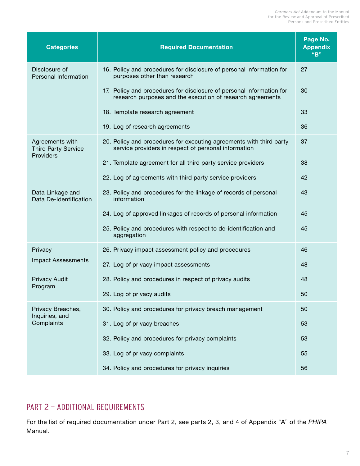<span id="page-8-0"></span>

| <b>Categories</b>                                          | <b>Required Documentation</b>                                                                                                      | Page No.<br><b>Appendix</b><br>"B" |
|------------------------------------------------------------|------------------------------------------------------------------------------------------------------------------------------------|------------------------------------|
| Disclosure of<br>Personal Information                      | 16. Policy and procedures for disclosure of personal information for<br>purposes other than research                               | 27                                 |
|                                                            | 17. Policy and procedures for disclosure of personal information for<br>research purposes and the execution of research agreements | 30                                 |
|                                                            | 18. Template research agreement                                                                                                    | 33                                 |
|                                                            | 19. Log of research agreements                                                                                                     | 36                                 |
| Agreements with<br><b>Third Party Service</b><br>Providers | 20. Policy and procedures for executing agreements with third party<br>service providers in respect of personal information        | 37                                 |
|                                                            | 21. Template agreement for all third party service providers                                                                       | 38                                 |
|                                                            | 22. Log of agreements with third party service providers                                                                           | 42                                 |
| Data Linkage and<br>Data De-Identification                 | 23. Policy and procedures for the linkage of records of personal<br>information                                                    | 43                                 |
|                                                            | 24. Log of approved linkages of records of personal information                                                                    | 45                                 |
|                                                            | 25. Policy and procedures with respect to de-identification and<br>aggregation                                                     | 45                                 |
| Privacy                                                    | 26. Privacy impact assessment policy and procedures                                                                                | 46                                 |
| <b>Impact Assessments</b>                                  | 27. Log of privacy impact assessments                                                                                              | 48                                 |
| Privacy Audit<br>Program                                   | 28. Policy and procedures in respect of privacy audits                                                                             | 48                                 |
|                                                            | 29. Log of privacy audits                                                                                                          | 50                                 |
| Privacy Breaches,<br>Inquiries, and                        | 30. Policy and procedures for privacy breach management                                                                            | 50                                 |
| Complaints                                                 | 31. Log of privacy breaches                                                                                                        | 53                                 |
|                                                            | 32. Policy and procedures for privacy complaints                                                                                   | 53                                 |
|                                                            | 33. Log of privacy complaints                                                                                                      | 55                                 |
|                                                            | 34. Policy and procedures for privacy inquiries                                                                                    | 56                                 |

## PART 2 — ADDITIONAL REQUIREMENTS

For the list of required documentation under Part 2, see parts 2, 3, and 4 of Appendix "A" of the *PHIPA* Manual.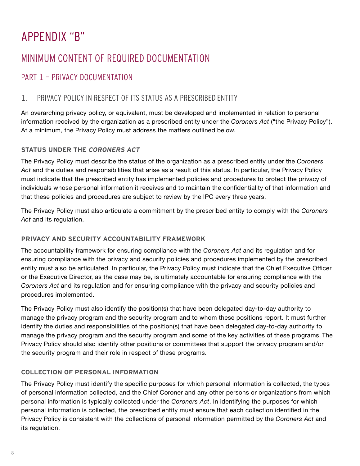# <span id="page-9-0"></span>APPENDIX "B"

## MINIMUM CONTENT OF REQUIRED DOCUMENTATION

## PART 1 — PRIVACY DOCUMENTATION

## 1. PRIVACY POLICY IN RESPECT OF ITS STATUS AS A PRESCRIBED ENTITY

An overarching privacy policy, or equivalent, must be developed and implemented in relation to personal information received by the organization as a prescribed entity under the *Coroners Act* ("the Privacy Policy"). At a minimum, the Privacy Policy must address the matters outlined below.

#### **STATUS UNDER THE CORONERS ACT**

The Privacy Policy must describe the status of the organization as a prescribed entity under the *Coroners Act* and the duties and responsibilities that arise as a result of this status. In particular, the Privacy Policy must indicate that the prescribed entity has implemented policies and procedures to protect the privacy of individuals whose personal information it receives and to maintain the confidentiality of that information and that these policies and procedures are subject to review by the IPC every three years.

The Privacy Policy must also articulate a commitment by the prescribed entity to comply with the *Coroners Act* and its regulation.

#### **PRIVACY AND SECURITY ACCOUNTABILITY FRAMEWORK**

The accountability framework for ensuring compliance with the *Coroners Act* and its regulation and for ensuring compliance with the privacy and security policies and procedures implemented by the prescribed entity must also be articulated. In particular, the Privacy Policy must indicate that the Chief Executive Officer or the Executive Director, as the case may be, is ultimately accountable for ensuring compliance with the *Coroners Act* and its regulation and for ensuring compliance with the privacy and security policies and procedures implemented.

The Privacy Policy must also identify the position(s) that have been delegated day-to-day authority to manage the privacy program and the security program and to whom these positions report. It must further identify the duties and responsibilities of the position(s) that have been delegated day-to-day authority to manage the privacy program and the security program and some of the key activities of these programs. The Privacy Policy should also identify other positions or committees that support the privacy program and/or the security program and their role in respect of these programs.

### **COLLECTION OF PERSONAL INFORMATION**

The Privacy Policy must identify the specific purposes for which personal information is collected, the types of personal information collected, and the Chief Coroner and any other persons or organizations from which personal information is typically collected under the *Coroners Act*. In identifying the purposes for which personal information is collected, the prescribed entity must ensure that each collection identified in the Privacy Policy is consistent with the collections of personal information permitted by the *Coroners Act* and its regulation.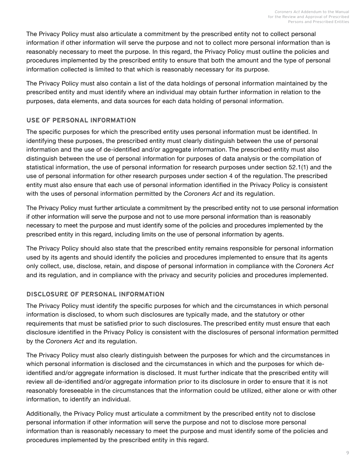The Privacy Policy must also articulate a commitment by the prescribed entity not to collect personal information if other information will serve the purpose and not to collect more personal information than is reasonably necessary to meet the purpose. In this regard, the Privacy Policy must outline the policies and procedures implemented by the prescribed entity to ensure that both the amount and the type of personal information collected is limited to that which is reasonably necessary for its purpose.

The Privacy Policy must also contain a list of the data holdings of personal information maintained by the prescribed entity and must identify where an individual may obtain further information in relation to the purposes, data elements, and data sources for each data holding of personal information.

#### **USE OF PERSONAL INFORMATION**

The specific purposes for which the prescribed entity uses personal information must be identified. In identifying these purposes, the prescribed entity must clearly distinguish between the use of personal information and the use of de-identified and/or aggregate information. The prescribed entity must also distinguish between the use of personal information for purposes of data analysis or the compilation of statistical information, the use of personal information for research purposes under section 52.1(1) and the use of personal information for other research purposes under section 4 of the regulation. The prescribed entity must also ensure that each use of personal information identified in the Privacy Policy is consistent with the uses of personal information permitted by the *Coroners Act* and its regulation.

The Privacy Policy must further articulate a commitment by the prescribed entity not to use personal information if other information will serve the purpose and not to use more personal information than is reasonably necessary to meet the purpose and must identify some of the policies and procedures implemented by the prescribed entity in this regard, including limits on the use of personal information by agents.

The Privacy Policy should also state that the prescribed entity remains responsible for personal information used by its agents and should identify the policies and procedures implemented to ensure that its agents only collect, use, disclose, retain, and dispose of personal information in compliance with the *Coroners Act*  and its regulation, and in compliance with the privacy and security policies and procedures implemented.

#### **DISCLOSURE OF PERSONAL INFORMATION**

The Privacy Policy must identify the specific purposes for which and the circumstances in which personal information is disclosed, to whom such disclosures are typically made, and the statutory or other requirements that must be satisfied prior to such disclosures. The prescribed entity must ensure that each disclosure identified in the Privacy Policy is consistent with the disclosures of personal information permitted by the *Coroners Act* and its regulation.

The Privacy Policy must also clearly distinguish between the purposes for which and the circumstances in which personal information is disclosed and the circumstances in which and the purposes for which deidentified and/or aggregate information is disclosed. It must further indicate that the prescribed entity will review all de-identified and/or aggregate information prior to its disclosure in order to ensure that it is not reasonably foreseeable in the circumstances that the information could be utilized, either alone or with other information, to identify an individual.

Additionally, the Privacy Policy must articulate a commitment by the prescribed entity not to disclose personal information if other information will serve the purpose and not to disclose more personal information than is reasonably necessary to meet the purpose and must identify some of the policies and procedures implemented by the prescribed entity in this regard.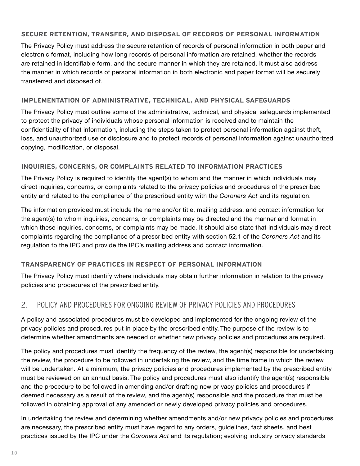#### <span id="page-11-0"></span>**SECURE RETENTION, TRANSFER, AND DISPOSAL OF RECORDS OF PERSONAL INFORMATION**

The Privacy Policy must address the secure retention of records of personal information in both paper and electronic format, including how long records of personal information are retained, whether the records are retained in identifiable form, and the secure manner in which they are retained. It must also address the manner in which records of personal information in both electronic and paper format will be securely transferred and disposed of.

#### **IMPLEMENTATION OF ADMINISTRATIVE, TECHNICAL, AND PHYSICAL SAFEGUARDS**

The Privacy Policy must outline some of the administrative, technical, and physical safeguards implemented to protect the privacy of individuals whose personal information is received and to maintain the confidentiality of that information, including the steps taken to protect personal information against theft, loss, and unauthorized use or disclosure and to protect records of personal information against unauthorized copying, modification, or disposal.

#### **INQUIRIES, CONCERNS, OR COMPLAINTS RELATED TO INFORMATION PRACTICES**

The Privacy Policy is required to identify the agent(s) to whom and the manner in which individuals may direct inquiries, concerns, or complaints related to the privacy policies and procedures of the prescribed entity and related to the compliance of the prescribed entity with the *Coroners Act* and its regulation.

The information provided must include the name and/or title, mailing address, and contact information for the agent(s) to whom inquiries, concerns, or complaints may be directed and the manner and format in which these inquiries, concerns, or complaints may be made. It should also state that individuals may direct complaints regarding the compliance of a prescribed entity with section 52.1 of the *Coroners Act* and its regulation to the IPC and provide the IPC's mailing address and contact information.

#### **TRANSPARENCY OF PRACTICES IN RESPECT OF PERSONAL INFORMATION**

The Privacy Policy must identify where individuals may obtain further information in relation to the privacy policies and procedures of the prescribed entity.

## 2. POLICY AND PROCEDURES FOR ONGOING REVIEW OF PRIVACY POLICIES AND PROCEDURES

A policy and associated procedures must be developed and implemented for the ongoing review of the privacy policies and procedures put in place by the prescribed entity. The purpose of the review is to determine whether amendments are needed or whether new privacy policies and procedures are required.

The policy and procedures must identify the frequency of the review, the agent(s) responsible for undertaking the review, the procedure to be followed in undertaking the review, and the time frame in which the review will be undertaken. At a minimum, the privacy policies and procedures implemented by the prescribed entity must be reviewed on an annual basis. The policy and procedures must also identify the agent(s) responsible and the procedure to be followed in amending and/or drafting new privacy policies and procedures if deemed necessary as a result of the review, and the agent(s) responsible and the procedure that must be followed in obtaining approval of any amended or newly developed privacy policies and procedures.

In undertaking the review and determining whether amendments and/or new privacy policies and procedures are necessary, the prescribed entity must have regard to any orders, guidelines, fact sheets, and best practices issued by the IPC under the *Coroners Act* and its regulation; evolving industry privacy standards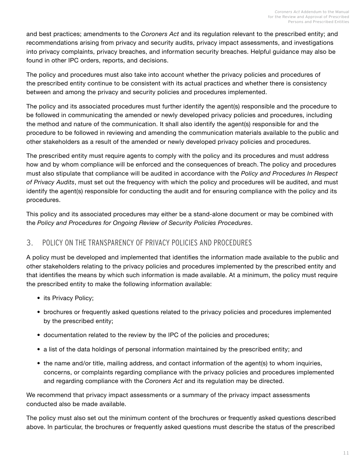<span id="page-12-0"></span>and best practices; amendments to the *Coroners Act* and its regulation relevant to the prescribed entity; and recommendations arising from privacy and security audits, privacy impact assessments, and investigations into privacy complaints, privacy breaches, and information security breaches. Helpful guidance may also be found in other IPC orders, reports, and decisions.

The policy and procedures must also take into account whether the privacy policies and procedures of the prescribed entity continue to be consistent with its actual practices and whether there is consistency between and among the privacy and security policies and procedures implemented.

The policy and its associated procedures must further identify the agent(s) responsible and the procedure to be followed in communicating the amended or newly developed privacy policies and procedures, including the method and nature of the communication. It shall also identify the agent(s) responsible for and the procedure to be followed in reviewing and amending the communication materials available to the public and other stakeholders as a result of the amended or newly developed privacy policies and procedures.

The prescribed entity must require agents to comply with the policy and its procedures and must address how and by whom compliance will be enforced and the consequences of breach. The policy and procedures must also stipulate that compliance will be audited in accordance with the *Policy and Procedures In Respect of Privacy Audits*, must set out the frequency with which the policy and procedures will be audited, and must identify the agent(s) responsible for conducting the audit and for ensuring compliance with the policy and its procedures.

This policy and its associated procedures may either be a stand-alone document or may be combined with the *Policy and Procedures for Ongoing Review of Security Policies Procedures*.

## 3. POLICY ON THE TRANSPARENCY OF PRIVACY POLICIES AND PROCEDURES

A policy must be developed and implemented that identifies the information made available to the public and other stakeholders relating to the privacy policies and procedures implemented by the prescribed entity and that identifies the means by which such information is made available. At a minimum, the policy must require the prescribed entity to make the following information available:

- its Privacy Policy;
- brochures or frequently asked questions related to the privacy policies and procedures implemented by the prescribed entity;
- documentation related to the review by the IPC of the policies and procedures;
- a list of the data holdings of personal information maintained by the prescribed entity; and
- the name and/or title, mailing address, and contact information of the agent(s) to whom inquiries, concerns, or complaints regarding compliance with the privacy policies and procedures implemented and regarding compliance with the *Coroners Act* and its regulation may be directed.

We recommend that privacy impact assessments or a summary of the privacy impact assessments conducted also be made available.

The policy must also set out the minimum content of the brochures or frequently asked questions described above. In particular, the brochures or frequently asked questions must describe the status of the prescribed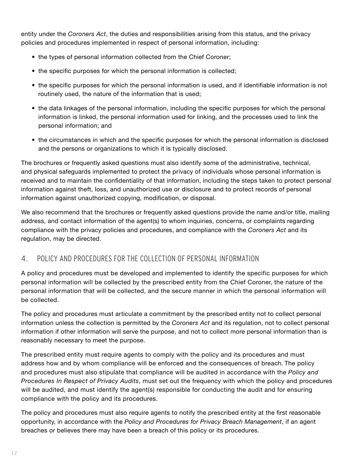<span id="page-13-0"></span>entity under the *Coroners Act*, the duties and responsibilities arising from this status, and the privacy policies and procedures implemented in respect of personal information, including:

- the types of personal information collected from the Chief Coroner;
- the specific purposes for which the personal information is collected;
- the specific purposes for which the personal information is used, and if identifiable information is not routinely used, the nature of the information that is used;
- the data linkages of the personal information, including the specific purposes for which the personal information is linked, the personal information used for linking, and the processes used to link the personal information; and
- the circumstances in which and the specific purposes for which the personal information is disclosed and the persons or organizations to which it is typically disclosed.

The brochures or frequently asked questions must also identify some of the administrative, technical, and physical safeguards implemented to protect the privacy of individuals whose personal information is received and to maintain the confidentiality of that information, including the steps taken to protect personal information against theft, loss, and unauthorized use or disclosure and to protect records of personal information against unauthorized copying, modification, or disposal.

We also recommend that the brochures or frequently asked questions provide the name and/or title, mailing address, and contact information of the agent(s) to whom inquiries, concerns, or complaints regarding compliance with the privacy policies and procedures, and compliance with the *Coroners Act* and its regulation, may be directed.

## 4. POLICY AND PROCEDURES FOR THE COLLECTION OF PERSONAL INFORMATION

A policy and procedures must be developed and implemented to identify the specific purposes for which personal information will be collected by the prescribed entity from the Chief Coroner, the nature of the personal information that will be collected, and the secure manner in which the personal information will be collected.

The policy and procedures must articulate a commitment by the prescribed entity not to collect personal information unless the collection is permitted by the *Coroners Act* and its regulation, not to collect personal information if other information will serve the purpose, and not to collect more personal information than is reasonably necessary to meet the purpose.

The prescribed entity must require agents to comply with the policy and its procedures and must address how and by whom compliance will be enforced and the consequences of breach. The policy and procedures must also stipulate that compliance will be audited in accordance with the *Policy and Procedures In Respect of Privacy Audits*, must set out the frequency with which the policy and procedures will be audited, and must identify the agent(s) responsible for conducting the audit and for ensuring compliance with the policy and its procedures.

The policy and procedures must also require agents to notify the prescribed entity at the first reasonable opportunity, in accordance with the *Policy and Procedures for Privacy Breach Management*, if an agent breaches or believes there may have been a breach of this policy or its procedures.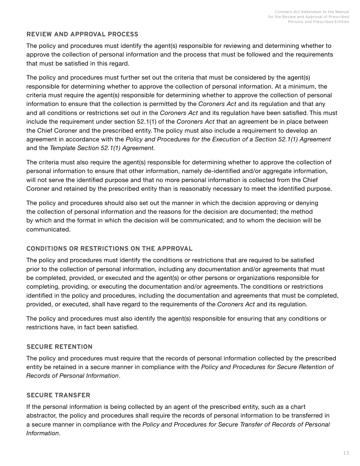#### **REVIEW AND APPROVAL PROCESS**

The policy and procedures must identify the agent(s) responsible for reviewing and determining whether to approve the collection of personal information and the process that must be followed and the requirements that must be satisfied in this regard.

The policy and procedures must further set out the criteria that must be considered by the agent(s) responsible for determining whether to approve the collection of personal information. At a minimum, the criteria must require the agent(s) responsible for determining whether to approve the collection of personal information to ensure that the collection is permitted by the *Coroners Act* and its regulation and that any and all conditions or restrictions set out in the *Coroners Act* and its regulation have been satisfied. This must include the requirement under section 52.1(1) of the *Coroners Act* that an agreement be in place between the Chief Coroner and the prescribed entity. The policy must also include a requirement to develop an agreement in accordance with the *Policy and Procedures for the Execution of a Section 52.1(1) Agreement*  and the *Template Section 52.1(1) Agreement.* 

The criteria must also require the agent(s) responsible for determining whether to approve the collection of personal information to ensure that other information, namely de-identified and/or aggregate information, will not serve the identified purpose and that no more personal information is collected from the Chief Coroner and retained by the prescribed entity than is reasonably necessary to meet the identified purpose.

The policy and procedures should also set out the manner in which the decision approving or denying the collection of personal information and the reasons for the decision are documented; the method by which and the format in which the decision will be communicated; and to whom the decision will be communicated.

#### **CONDITIONS OR RESTRICTIONS ON THE APPROVAL**

The policy and procedures must identify the conditions or restrictions that are required to be satisfied prior to the collection of personal information, including any documentation and/or agreements that must be completed, provided, or executed and the agent(s) or other persons or organizations responsible for completing, providing, or executing the documentation and/or agreements. The conditions or restrictions identified in the policy and procedures, including the documentation and agreements that must be completed, provided, or executed, shall have regard to the requirements of the *Coroners Act* and its regulation.

The policy and procedures must also identify the agent(s) responsible for ensuring that any conditions or restrictions have, in fact been satisfied.

#### **SECURE RETENTION**

The policy and procedures must require that the records of personal information collected by the prescribed entity be retained in a secure manner in compliance with the *Policy and Procedures for Secure Retention of Records of Personal Information*.

#### **SECURE TRANSFER**

If the personal information is being collected by an agent of the prescribed entity, such as a chart abstractor, the policy and procedures shall require the records of personal information to be transferred in a secure manner in compliance with the *Policy and Procedures for Secure Transfer of Records of Personal Information*.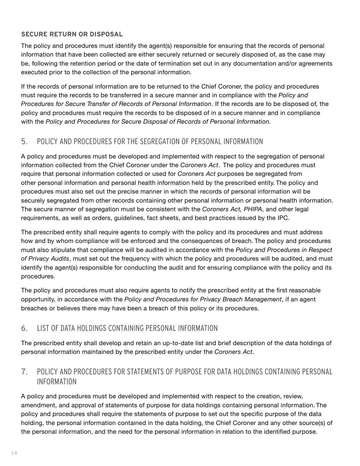#### <span id="page-15-0"></span>**SECURE RETURN OR DISPOSAL**

The policy and procedures must identify the agent(s) responsible for ensuring that the records of personal information that have been collected are either securely returned or securely disposed of, as the case may be, following the retention period or the date of termination set out in any documentation and/or agreements executed prior to the collection of the personal information.

If the records of personal information are to be returned to the Chief Coroner, the policy and procedures must require the records to be transferred in a secure manner and in compliance with the *Policy and Procedures for Secure Transfer of Records of Personal Information*. If the records are to be disposed of, the policy and procedures must require the records to be disposed of in a secure manner and in compliance with the *Policy and Procedures for Secure Disposal of Records of Personal Information.*

## 5. POLICY AND PROCEDURES FOR THE SEGREGATION OF PERSONAL INFORMATION

A policy and procedures must be developed and implemented with respect to the segregation of personal information collected from the Chief Coroner under the *Coroners Act*. The policy and procedures must require that personal information collected or used for *Coroners Act* purposes be segregated from other personal information and personal health information held by the prescribed entity. The policy and procedures must also set out the precise manner in which the records of personal information will be securely segregated from other records containing other personal information or personal health information. The secure manner of segregation must be consistent with the *Coroners Act, PHIPA*, and other legal requirements, as well as orders, guidelines, fact sheets, and best practices issued by the IPC.

The prescribed entity shall require agents to comply with the policy and its procedures and must address how and by whom compliance will be enforced and the consequences of breach. The policy and procedures must also stipulate that compliance will be audited in accordance with the *Policy and Procedures in Respect of Privacy Audits*, must set out the frequency with which the policy and procedures will be audited, and must identify the agent(s) responsible for conducting the audit and for ensuring compliance with the policy and its procedures.

The policy and procedures must also require agents to notify the prescribed entity at the first reasonable opportunity, in accordance with the *Policy and Procedures for Privacy Breach Management*, if an agent breaches or believes there may have been a breach of this policy or its procedures.

## 6. LIST OF DATA HOLDINGS CONTAINING PERSONAL INFORMATION

The prescribed entity shall develop and retain an up-to-date list and brief description of the data holdings of personal information maintained by the prescribed entity under the *Coroners Act*.

## 7. POLICY AND PROCEDURES FOR STATEMENTS OF PURPOSE FOR DATA HOLDINGS CONTAINING PERSONAL INFORMATION

A policy and procedures must be developed and implemented with respect to the creation, review, amendment, and approval of statements of purpose for data holdings containing personal information. The policy and procedures shall require the statements of purpose to set out the specific purpose of the data holding, the personal information contained in the data holding, the Chief Coroner and any other source(s) of the personal information, and the need for the personal information in relation to the identified purpose.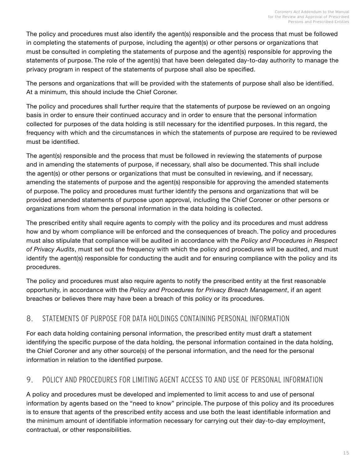<span id="page-16-0"></span>The policy and procedures must also identify the agent(s) responsible and the process that must be followed in completing the statements of purpose, including the agent(s) or other persons or organizations that must be consulted in completing the statements of purpose and the agent(s) responsible for approving the statements of purpose. The role of the agent(s) that have been delegated day-to-day authority to manage the privacy program in respect of the statements of purpose shall also be specified.

The persons and organizations that will be provided with the statements of purpose shall also be identified. At a minimum, this should include the Chief Coroner.

The policy and procedures shall further require that the statements of purpose be reviewed on an ongoing basis in order to ensure their continued accuracy and in order to ensure that the personal information collected for purposes of the data holding is still necessary for the identified purposes. In this regard, the frequency with which and the circumstances in which the statements of purpose are required to be reviewed must be identified.

The agent(s) responsible and the process that must be followed in reviewing the statements of purpose and in amending the statements of purpose, if necessary, shall also be documented. This shall include the agent(s) or other persons or organizations that must be consulted in reviewing, and if necessary, amending the statements of purpose and the agent(s) responsible for approving the amended statements of purpose. The policy and procedures must further identify the persons and organizations that will be provided amended statements of purpose upon approval, including the Chief Coroner or other persons or organizations from whom the personal information in the data holding is collected.

The prescribed entity shall require agents to comply with the policy and its procedures and must address how and by whom compliance will be enforced and the consequences of breach. The policy and procedures must also stipulate that compliance will be audited in accordance with the *Policy and Procedures in Respect of Privacy Audits*, must set out the frequency with which the policy and procedures will be audited, and must identify the agent(s) responsible for conducting the audit and for ensuring compliance with the policy and its procedures.

The policy and procedures must also require agents to notify the prescribed entity at the first reasonable opportunity, in accordance with the *Policy and Procedures for Privacy Breach Management*, if an agent breaches or believes there may have been a breach of this policy or its procedures.

## 8. STATEMENTS OF PURPOSE FOR DATA HOLDINGS CONTAINING PERSONAL INFORMATION

For each data holding containing personal information, the prescribed entity must draft a statement identifying the specific purpose of the data holding, the personal information contained in the data holding, the Chief Coroner and any other source(s) of the personal information, and the need for the personal information in relation to the identified purpose.

## 9. POLICY AND PROCEDURES FOR LIMITING AGENT ACCESS TO AND USE OF PERSONAL INFORMATION

A policy and procedures must be developed and implemented to limit access to and use of personal information by agents based on the "need to know" principle. The purpose of this policy and its procedures is to ensure that agents of the prescribed entity access and use both the least identifiable information and the minimum amount of identifiable information necessary for carrying out their day-to-day employment, contractual, or other responsibilities.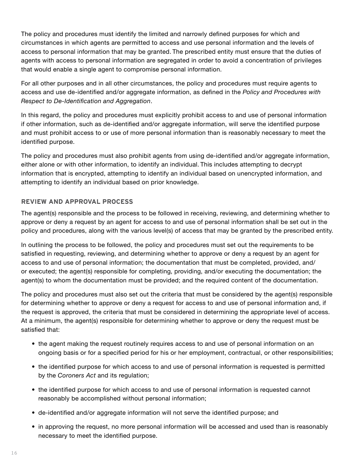The policy and procedures must identify the limited and narrowly defined purposes for which and circumstances in which agents are permitted to access and use personal information and the levels of access to personal information that may be granted. The prescribed entity must ensure that the duties of agents with access to personal information are segregated in order to avoid a concentration of privileges that would enable a single agent to compromise personal information.

For all other purposes and in all other circumstances, the policy and procedures must require agents to access and use de-identified and/or aggregate information, as defined in the *Policy and Procedures with Respect to De-Identification and Aggregation*.

In this regard, the policy and procedures must explicitly prohibit access to and use of personal information if other information, such as de-identified and/or aggregate information, will serve the identified purpose and must prohibit access to or use of more personal information than is reasonably necessary to meet the identified purpose.

The policy and procedures must also prohibit agents from using de-identified and/or aggregate information, either alone or with other information, to identify an individual. This includes attempting to decrypt information that is encrypted, attempting to identify an individual based on unencrypted information, and attempting to identify an individual based on prior knowledge.

#### **REVIEW AND APPROVAL PROCESS**

The agent(s) responsible and the process to be followed in receiving, reviewing, and determining whether to approve or deny a request by an agent for access to and use of personal information shall be set out in the policy and procedures, along with the various level(s) of access that may be granted by the prescribed entity.

In outlining the process to be followed, the policy and procedures must set out the requirements to be satisfied in requesting, reviewing, and determining whether to approve or deny a request by an agent for access to and use of personal information; the documentation that must be completed, provided, and/ or executed; the agent(s) responsible for completing, providing, and/or executing the documentation; the agent(s) to whom the documentation must be provided; and the required content of the documentation.

The policy and procedures must also set out the criteria that must be considered by the agent(s) responsible for determining whether to approve or deny a request for access to and use of personal information and, if the request is approved, the criteria that must be considered in determining the appropriate level of access. At a minimum, the agent(s) responsible for determining whether to approve or deny the request must be satisfied that:

- the agent making the request routinely requires access to and use of personal information on an ongoing basis or for a specified period for his or her employment, contractual, or other responsibilities;
- the identified purpose for which access to and use of personal information is requested is permitted by the *Coroners Act* and its regulation;
- the identified purpose for which access to and use of personal information is requested cannot reasonably be accomplished without personal information;
- de-identified and/or aggregate information will not serve the identified purpose; and
- in approving the request, no more personal information will be accessed and used than is reasonably necessary to meet the identified purpose.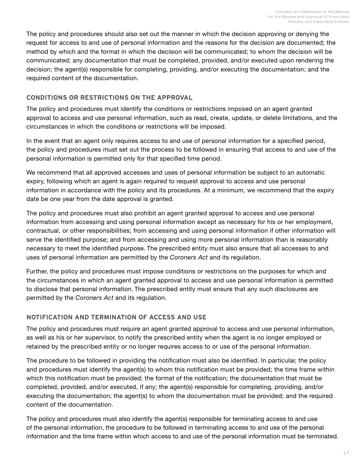The policy and procedures should also set out the manner in which the decision approving or denying the request for access to and use of personal information and the reasons for the decision are documented; the method by which and the format in which the decision will be communicated; to whom the decision will be communicated; any documentation that must be completed, provided, and/or executed upon rendering the decision; the agent(s) responsible for completing, providing, and/or executing the documentation; and the required content of the documentation.

#### **CONDITIONS OR RESTRICTIONS ON THE APPROVAL**

The policy and procedures must identify the conditions or restrictions imposed on an agent granted approval to access and use personal information, such as read, create, update, or delete limitations, and the circumstances in which the conditions or restrictions will be imposed.

In the event that an agent only requires access to and use of personal information for a specified period, the policy and procedures must set out the process to be followed in ensuring that access to and use of the personal information is permitted only for that specified time period.

We recommend that all approved accesses and uses of personal information be subject to an automatic expiry, following which an agent is again required to request approval to access and use personal information in accordance with the policy and its procedures. At a minimum, we recommend that the expiry date be one year from the date approval is granted.

The policy and procedures must also prohibit an agent granted approval to access and use personal information from accessing and using personal information except as necessary for his or her employment, contractual, or other responsibilities; from accessing and using personal information if other information will serve the identified purpose; and from accessing and using more personal information than is reasonably necessary to meet the identified purpose. The prescribed entity must also ensure that all accesses to and uses of personal information are permitted by the *Coroners Act* and its regulation.

Further, the policy and procedures must impose conditions or restrictions on the purposes for which and the circumstances in which an agent granted approval to access and use personal information is permitted to disclose that personal information. The prescribed entity must ensure that any such disclosures are permitted by the *Coroners Act* and its regulation.

#### **NOTIFICATION AND TERMINATION OF ACCESS AND USE**

The policy and procedures must require an agent granted approval to access and use personal information, as well as his or her supervisor, to notify the prescribed entity when the agent is no longer employed or retained by the prescribed entity or no longer requires access to or use of the personal information.

The procedure to be followed in providing the notification must also be identified. In particular, the policy and procedures must identify the agent(s) to whom this notification must be provided; the time frame within which this notification must be provided; the format of the notification; the documentation that must be completed, provided, and/or executed, if any; the agent(s) responsible for completing, providing, and/or executing the documentation; the agent(s) to whom the documentation must be provided; and the required content of the documentation.

The policy and procedures must also identify the agent(s) responsible for terminating access to and use of the personal information, the procedure to be followed in terminating access to and use of the personal information and the time frame within which access to and use of the personal information must be terminated.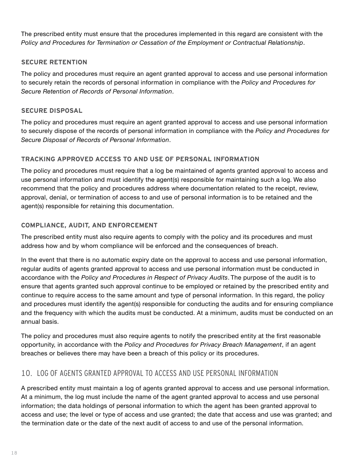<span id="page-19-0"></span>The prescribed entity must ensure that the procedures implemented in this regard are consistent with the *Policy and Procedures for Termination or Cessation of the Employment or Contractual Relationship*.

#### **SECURE RETENTION**

The policy and procedures must require an agent granted approval to access and use personal information to securely retain the records of personal information in compliance with the *Policy and Procedures for Secure Retention of Records of Personal Information*.

#### **SECURE DISPOSAL**

The policy and procedures must require an agent granted approval to access and use personal information to securely dispose of the records of personal information in compliance with the *Policy and Procedures for Secure Disposal of Records of Personal Information*.

#### **TRACKING APPROVED ACCESS TO AND USE OF PERSONAL INFORMATION**

The policy and procedures must require that a log be maintained of agents granted approval to access and use personal information and must identify the agent(s) responsible for maintaining such a log. We also recommend that the policy and procedures address where documentation related to the receipt, review, approval, denial, or termination of access to and use of personal information is to be retained and the agent(s) responsible for retaining this documentation.

#### **COMPLIANCE, AUDIT, AND ENFORCEMENT**

The prescribed entity must also require agents to comply with the policy and its procedures and must address how and by whom compliance will be enforced and the consequences of breach.

In the event that there is no automatic expiry date on the approval to access and use personal information, regular audits of agents granted approval to access and use personal information must be conducted in accordance with the *Policy and Procedures in Respect of Privacy Audits*. The purpose of the audit is to ensure that agents granted such approval continue to be employed or retained by the prescribed entity and continue to require access to the same amount and type of personal information. In this regard, the policy and procedures must identify the agent(s) responsible for conducting the audits and for ensuring compliance and the frequency with which the audits must be conducted. At a minimum, audits must be conducted on an annual basis.

The policy and procedures must also require agents to notify the prescribed entity at the first reasonable opportunity, in accordance with the *Policy and Procedures for Privacy Breach Management*, if an agent breaches or believes there may have been a breach of this policy or its procedures.

## 10. LOG OF AGENTS GRANTED APPROVAL TO ACCESS AND USE PERSONAL INFORMATION

A prescribed entity must maintain a log of agents granted approval to access and use personal information. At a minimum, the log must include the name of the agent granted approval to access and use personal information; the data holdings of personal information to which the agent has been granted approval to access and use; the level or type of access and use granted; the date that access and use was granted; and the termination date or the date of the next audit of access to and use of the personal information.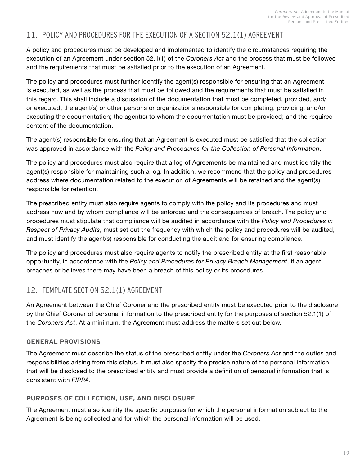## <span id="page-20-0"></span>11. POLICY AND PROCEDURES FOR THE EXECUTION OF A SECTION 52.1(1) AGREEMENT

A policy and procedures must be developed and implemented to identify the circumstances requiring the execution of an Agreement under section 52.1(1) of the *Coroners Act* and the process that must be followed and the requirements that must be satisfied prior to the execution of an Agreement.

The policy and procedures must further identify the agent(s) responsible for ensuring that an Agreement is executed, as well as the process that must be followed and the requirements that must be satisfied in this regard. This shall include a discussion of the documentation that must be completed, provided, and/ or executed; the agent(s) or other persons or organizations responsible for completing, providing, and/or executing the documentation; the agent(s) to whom the documentation must be provided; and the required content of the documentation.

The agent(s) responsible for ensuring that an Agreement is executed must be satisfied that the collection was approved in accordance with the *Policy and Procedures for the Collection of Personal Information*.

The policy and procedures must also require that a log of Agreements be maintained and must identify the agent(s) responsible for maintaining such a log. In addition, we recommend that the policy and procedures address where documentation related to the execution of Agreements will be retained and the agent(s) responsible for retention.

The prescribed entity must also require agents to comply with the policy and its procedures and must address how and by whom compliance will be enforced and the consequences of breach. The policy and procedures must stipulate that compliance will be audited in accordance with the *Policy and Procedures in Respect of Privacy Audits*, must set out the frequency with which the policy and procedures will be audited, and must identify the agent(s) responsible for conducting the audit and for ensuring compliance.

The policy and procedures must also require agents to notify the prescribed entity at the first reasonable opportunity, in accordance with the *Policy and Procedures for Privacy Breach Management*, if an agent breaches or believes there may have been a breach of this policy or its procedures.

## 12. TEMPLATE SECTION 52.1(1) AGREEMENT

An Agreement between the Chief Coroner and the prescribed entity must be executed prior to the disclosure by the Chief Coroner of personal information to the prescribed entity for the purposes of section 52.1(1) of the *Coroners Act*. At a minimum, the Agreement must address the matters set out below.

#### **GENERAL PROVISIONS**

The Agreement must describe the status of the prescribed entity under the *Coroners Act* and the duties and responsibilities arising from this status. It must also specify the precise nature of the personal information that will be disclosed to the prescribed entity and must provide a definition of personal information that is consistent with *FIPPA*.

### **PURPOSES OF COLLECTION, USE, AND DISCLOSURE**

The Agreement must also identify the specific purposes for which the personal information subject to the Agreement is being collected and for which the personal information will be used.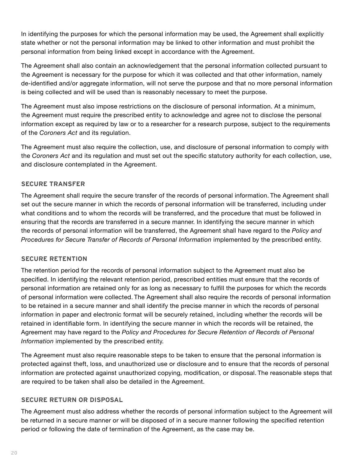In identifying the purposes for which the personal information may be used, the Agreement shall explicitly state whether or not the personal information may be linked to other information and must prohibit the personal information from being linked except in accordance with the Agreement.

The Agreement shall also contain an acknowledgement that the personal information collected pursuant to the Agreement is necessary for the purpose for which it was collected and that other information, namely de-identified and/or aggregate information, will not serve the purpose and that no more personal information is being collected and will be used than is reasonably necessary to meet the purpose.

The Agreement must also impose restrictions on the disclosure of personal information. At a minimum, the Agreement must require the prescribed entity to acknowledge and agree not to disclose the personal information except as required by law or to a researcher for a research purpose, subject to the requirements of the *Coroners Act* and its regulation.

The Agreement must also require the collection, use, and disclosure of personal information to comply with the *Coroners Act* and its regulation and must set out the specific statutory authority for each collection, use, and disclosure contemplated in the Agreement.

#### **SECURE TRANSFER**

The Agreement shall require the secure transfer of the records of personal information. The Agreement shall set out the secure manner in which the records of personal information will be transferred, including under what conditions and to whom the records will be transferred, and the procedure that must be followed in ensuring that the records are transferred in a secure manner. In identifying the secure manner in which the records of personal information will be transferred, the Agreement shall have regard to the *Policy and Procedures for Secure Transfer of Records of Personal Information* implemented by the prescribed entity.

#### **SECURE RETENTION**

The retention period for the records of personal information subject to the Agreement must also be specified. In identifying the relevant retention period, prescribed entities must ensure that the records of personal information are retained only for as long as necessary to fulfill the purposes for which the records of personal information were collected. The Agreement shall also require the records of personal information to be retained in a secure manner and shall identify the precise manner in which the records of personal information in paper and electronic format will be securely retained, including whether the records will be retained in identifiable form. In identifying the secure manner in which the records will be retained, the Agreement may have regard to the *Policy and Procedures for Secure Retention of Records of Personal Information* implemented by the prescribed entity.

The Agreement must also require reasonable steps to be taken to ensure that the personal information is protected against theft, loss, and unauthorized use or disclosure and to ensure that the records of personal information are protected against unauthorized copying, modification, or disposal. The reasonable steps that are required to be taken shall also be detailed in the Agreement.

#### **SECURE RETURN OR DISPOSAL**

The Agreement must also address whether the records of personal information subject to the Agreement will be returned in a secure manner or will be disposed of in a secure manner following the specified retention period or following the date of termination of the Agreement, as the case may be.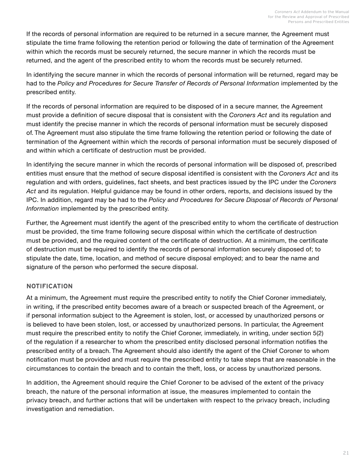If the records of personal information are required to be returned in a secure manner, the Agreement must stipulate the time frame following the retention period or following the date of termination of the Agreement within which the records must be securely returned, the secure manner in which the records must be returned, and the agent of the prescribed entity to whom the records must be securely returned.

In identifying the secure manner in which the records of personal information will be returned, regard may be had to the Policy and Procedures for Secure Transfer of Records of Personal Information implemented by the prescribed entity.

If the records of personal information are required to be disposed of in a secure manner, the Agreement must provide a definition of secure disposal that is consistent with the *Coroners Act* and its regulation and must identify the precise manner in which the records of personal information must be securely disposed of. The Agreement must also stipulate the time frame following the retention period or following the date of termination of the Agreement within which the records of personal information must be securely disposed of and within which a certificate of destruction must be provided.

In identifying the secure manner in which the records of personal information will be disposed of, prescribed entities must ensure that the method of secure disposal identified is consistent with the *Coroners Act* and its regulation and with orders, guidelines, fact sheets, and best practices issued by the IPC under the *Coroners Act* and its regulation. Helpful guidance may be found in other orders, reports, and decisions issued by the IPC. In addition, regard may be had to the *Policy and Procedures for Secure Disposal of Records of Personal Information* implemented by the prescribed entity.

Further, the Agreement must identify the agent of the prescribed entity to whom the certificate of destruction must be provided, the time frame following secure disposal within which the certificate of destruction must be provided, and the required content of the certificate of destruction. At a minimum, the certificate of destruction must be required to identify the records of personal information securely disposed of; to stipulate the date, time, location, and method of secure disposal employed; and to bear the name and signature of the person who performed the secure disposal.

#### **NOTIFICATION**

At a minimum, the Agreement must require the prescribed entity to notify the Chief Coroner immediately, in writing, if the prescribed entity becomes aware of a breach or suspected breach of the Agreement, or if personal information subject to the Agreement is stolen, lost, or accessed by unauthorized persons or is believed to have been stolen, lost, or accessed by unauthorized persons. In particular, the Agreement must require the prescribed entity to notify the Chief Coroner, immediately, in writing, under section 5(2) of the regulation if a researcher to whom the prescribed entity disclosed personal information notifies the prescribed entity of a breach. The Agreement should also identify the agent of the Chief Coroner to whom notification must be provided and must require the prescribed entity to take steps that are reasonable in the circumstances to contain the breach and to contain the theft, loss, or access by unauthorized persons.

In addition, the Agreement should require the Chief Coroner to be advised of the extent of the privacy breach, the nature of the personal information at issue, the measures implemented to contain the privacy breach, and further actions that will be undertaken with respect to the privacy breach, including investigation and remediation.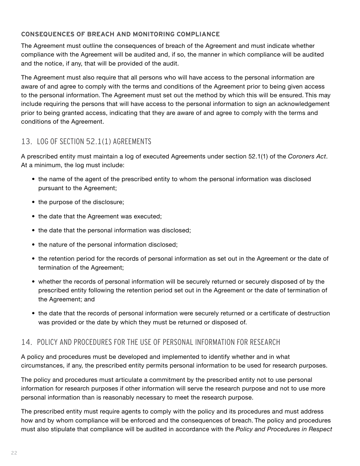#### <span id="page-23-0"></span>**CONSEQUENCES OF BREACH AND MONITORING COMPLIANCE**

The Agreement must outline the consequences of breach of the Agreement and must indicate whether compliance with the Agreement will be audited and, if so, the manner in which compliance will be audited and the notice, if any, that will be provided of the audit.

The Agreement must also require that all persons who will have access to the personal information are aware of and agree to comply with the terms and conditions of the Agreement prior to being given access to the personal information. The Agreement must set out the method by which this will be ensured. This may include requiring the persons that will have access to the personal information to sign an acknowledgement prior to being granted access, indicating that they are aware of and agree to comply with the terms and conditions of the Agreement.

## 13. LOG OF SECTION 52.1(1) AGREEMENTS

A prescribed entity must maintain a log of executed Agreements under section 52.1(1) of the *Coroners Act*. At a minimum, the log must include:

- the name of the agent of the prescribed entity to whom the personal information was disclosed pursuant to the Agreement;
- the purpose of the disclosure;
- the date that the Agreement was executed;
- the date that the personal information was disclosed;
- the nature of the personal information disclosed;
- the retention period for the records of personal information as set out in the Agreement or the date of termination of the Agreement;
- whether the records of personal information will be securely returned or securely disposed of by the prescribed entity following the retention period set out in the Agreement or the date of termination of the Agreement; and
- the date that the records of personal information were securely returned or a certificate of destruction was provided or the date by which they must be returned or disposed of.

## 14. POLICY AND PROCEDURES FOR THE USE OF PERSONAL INFORMATION FOR RESEARCH

A policy and procedures must be developed and implemented to identify whether and in what circumstances, if any, the prescribed entity permits personal information to be used for research purposes.

The policy and procedures must articulate a commitment by the prescribed entity not to use personal information for research purposes if other information will serve the research purpose and not to use more personal information than is reasonably necessary to meet the research purpose.

The prescribed entity must require agents to comply with the policy and its procedures and must address how and by whom compliance will be enforced and the consequences of breach. The policy and procedures must also stipulate that compliance will be audited in accordance with the *Policy and Procedures in Respect*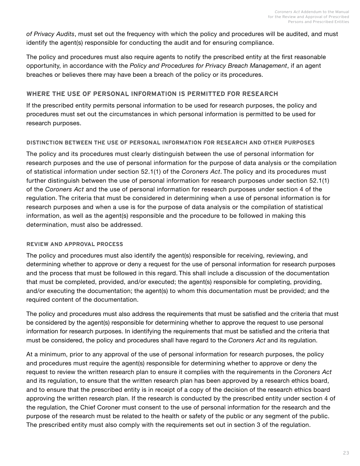*of Privacy Audits*, must set out the frequency with which the policy and procedures will be audited, and must identify the agent(s) responsible for conducting the audit and for ensuring compliance.

The policy and procedures must also require agents to notify the prescribed entity at the first reasonable opportunity, in accordance with the *Policy and Procedures for Privacy Breach Management*, if an agent breaches or believes there may have been a breach of the policy or its procedures.

#### **WHERE THE USE OF PERSONAL INFORMATION IS PERMITTED FOR RESEARCH**

If the prescribed entity permits personal information to be used for research purposes, the policy and procedures must set out the circumstances in which personal information is permitted to be used for research purposes.

#### **DISTINCTION BETWEEN THE USE OF PERSONAL INFORMATION FOR RESEARCH AND OTHER PURPOSES**

The policy and its procedures must clearly distinguish between the use of personal information for research purposes and the use of personal information for the purpose of data analysis or the compilation of statistical information under section 52.1(1) of the *Coroners Act*. The policy and its procedures must further distinguish between the use of personal information for research purposes under section 52.1(1) of the *Coroners Act* and the use of personal information for research purposes under section 4 of the regulation. The criteria that must be considered in determining when a use of personal information is for research purposes and when a use is for the purpose of data analysis or the compilation of statistical information, as well as the agent(s) responsible and the procedure to be followed in making this determination, must also be addressed.

#### **REVIEW AND APPROVAL PROCESS**

The policy and procedures must also identify the agent(s) responsible for receiving, reviewing, and determining whether to approve or deny a request for the use of personal information for research purposes and the process that must be followed in this regard. This shall include a discussion of the documentation that must be completed, provided, and/or executed; the agent(s) responsible for completing, providing, and/or executing the documentation; the agent(s) to whom this documentation must be provided; and the required content of the documentation.

The policy and procedures must also address the requirements that must be satisfied and the criteria that must be considered by the agent(s) responsible for determining whether to approve the request to use personal information for research purposes. In identifying the requirements that must be satisfied and the criteria that must be considered, the policy and procedures shall have regard to the *Coroners Act* and its regulation.

At a minimum, prior to any approval of the use of personal information for research purposes, the policy and procedures must require the agent(s) responsible for determining whether to approve or deny the request to review the written research plan to ensure it complies with the requirements in the *Coroners Act*  and its regulation, to ensure that the written research plan has been approved by a research ethics board, and to ensure that the prescribed entity is in receipt of a copy of the decision of the research ethics board approving the written research plan. If the research is conducted by the prescribed entity under section 4 of the regulation, the Chief Coroner must consent to the use of personal information for the research and the purpose of the research must be related to the health or safety of the public or any segment of the public. The prescribed entity must also comply with the requirements set out in section 3 of the regulation.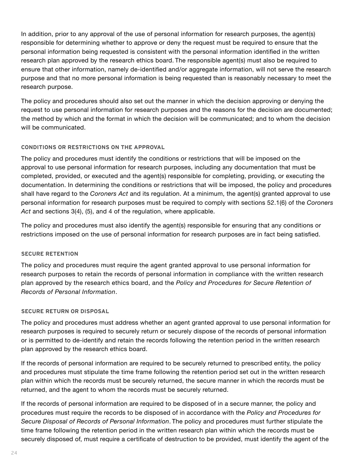In addition, prior to any approval of the use of personal information for research purposes, the agent(s) responsible for determining whether to approve or deny the request must be required to ensure that the personal information being requested is consistent with the personal information identified in the written research plan approved by the research ethics board. The responsible agent(s) must also be required to ensure that other information, namely de-identified and/or aggregate information, will not serve the research purpose and that no more personal information is being requested than is reasonably necessary to meet the research purpose.

The policy and procedures should also set out the manner in which the decision approving or denying the request to use personal information for research purposes and the reasons for the decision are documented; the method by which and the format in which the decision will be communicated; and to whom the decision will be communicated.

#### **CONDITIONS OR RESTRICTIONS ON THE APPROVAL**

The policy and procedures must identify the conditions or restrictions that will be imposed on the approval to use personal information for research purposes, including any documentation that must be completed, provided, or executed and the agent(s) responsible for completing, providing, or executing the documentation. In determining the conditions or restrictions that will be imposed, the policy and procedures shall have regard to the *Coroners Act* and its regulation. At a minimum, the agent(s) granted approval to use personal information for research purposes must be required to comply with sections 52.1(6) of the *Coroners Act* and sections 3(4), (5), and 4 of the regulation, where applicable.

The policy and procedures must also identify the agent(s) responsible for ensuring that any conditions or restrictions imposed on the use of personal information for research purposes are in fact being satisfied.

#### **SECURE RETENTION**

The policy and procedures must require the agent granted approval to use personal information for research purposes to retain the records of personal information in compliance with the written research plan approved by the research ethics board, and the *Policy and Procedures for Secure Retention of Records of Personal Information*.

#### **SECURE RETURN OR DISPOSAL**

The policy and procedures must address whether an agent granted approval to use personal information for research purposes is required to securely return or securely dispose of the records of personal information or is permitted to de-identify and retain the records following the retention period in the written research plan approved by the research ethics board.

If the records of personal information are required to be securely returned to prescribed entity, the policy and procedures must stipulate the time frame following the retention period set out in the written research plan within which the records must be securely returned, the secure manner in which the records must be returned, and the agent to whom the records must be securely returned.

If the records of personal information are required to be disposed of in a secure manner, the policy and procedures must require the records to be disposed of in accordance with the *Policy and Procedures for Secure Disposal of Records of Personal Information*. The policy and procedures must further stipulate the time frame following the retention period in the written research plan within which the records must be securely disposed of, must require a certificate of destruction to be provided, must identify the agent of the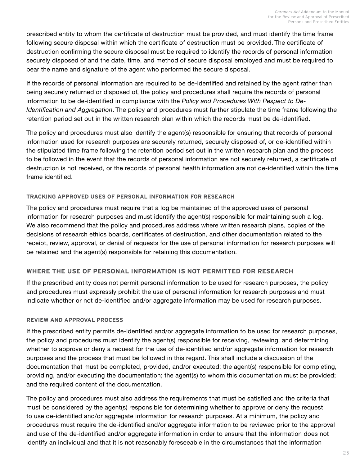prescribed entity to whom the certificate of destruction must be provided, and must identify the time frame following secure disposal within which the certificate of destruction must be provided. The certificate of destruction confirming the secure disposal must be required to identify the records of personal information securely disposed of and the date, time, and method of secure disposal employed and must be required to bear the name and signature of the agent who performed the secure disposal.

If the records of personal information are required to be de-identified and retained by the agent rather than being securely returned or disposed of, the policy and procedures shall require the records of personal information to be de-identified in compliance with the *Policy and Procedures With Respect to De-Identification and Aggregation*. The policy and procedures must further stipulate the time frame following the retention period set out in the written research plan within which the records must be de-identified.

The policy and procedures must also identify the agent(s) responsible for ensuring that records of personal information used for research purposes are securely returned, securely disposed of, or de-identified within the stipulated time frame following the retention period set out in the written research plan and the process to be followed in the event that the records of personal information are not securely returned, a certificate of destruction is not received, or the records of personal health information are not de-identified within the time frame identified.

#### **TRACKING APPROVED USES OF PERSONAL INFORMATION FOR RESEARCH**

The policy and procedures must require that a log be maintained of the approved uses of personal information for research purposes and must identify the agent(s) responsible for maintaining such a log. We also recommend that the policy and procedures address where written research plans, copies of the decisions of research ethics boards, certificates of destruction, and other documentation related to the receipt, review, approval, or denial of requests for the use of personal information for research purposes will be retained and the agent(s) responsible for retaining this documentation.

#### **WHERE THE USE OF PERSONAL INFORMATION IS NOT PERMITTED FOR RESEARCH**

If the prescribed entity does not permit personal information to be used for research purposes, the policy and procedures must expressly prohibit the use of personal information for research purposes and must indicate whether or not de-identified and/or aggregate information may be used for research purposes.

#### **REVIEW AND APPROVAL PROCESS**

If the prescribed entity permits de-identified and/or aggregate information to be used for research purposes, the policy and procedures must identify the agent(s) responsible for receiving, reviewing, and determining whether to approve or deny a request for the use of de-identified and/or aggregate information for research purposes and the process that must be followed in this regard. This shall include a discussion of the documentation that must be completed, provided, and/or executed; the agent(s) responsible for completing, providing, and/or executing the documentation; the agent(s) to whom this documentation must be provided; and the required content of the documentation.

The policy and procedures must also address the requirements that must be satisfied and the criteria that must be considered by the agent(s) responsible for determining whether to approve or deny the request to use de-identified and/or aggregate information for research purposes. At a minimum, the policy and procedures must require the de-identified and/or aggregate information to be reviewed prior to the approval and use of the de-identified and/or aggregate information in order to ensure that the information does not identify an individual and that it is not reasonably foreseeable in the circumstances that the information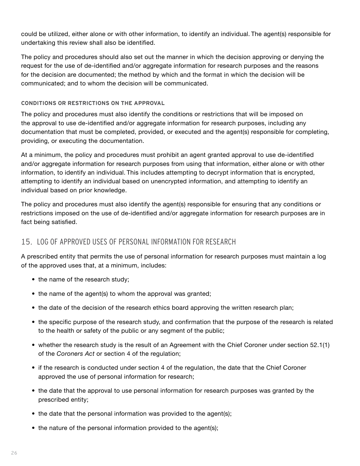<span id="page-27-0"></span>could be utilized, either alone or with other information, to identify an individual. The agent(s) responsible for undertaking this review shall also be identified.

The policy and procedures should also set out the manner in which the decision approving or denying the request for the use of de-identified and/or aggregate information for research purposes and the reasons for the decision are documented; the method by which and the format in which the decision will be communicated; and to whom the decision will be communicated.

#### **CONDITIONS OR RESTRICTIONS ON THE APPROVAL**

The policy and procedures must also identify the conditions or restrictions that will be imposed on the approval to use de-identified and/or aggregate information for research purposes, including any documentation that must be completed, provided, or executed and the agent(s) responsible for completing, providing, or executing the documentation.

At a minimum, the policy and procedures must prohibit an agent granted approval to use de-identified and/or aggregate information for research purposes from using that information, either alone or with other information, to identify an individual. This includes attempting to decrypt information that is encrypted, attempting to identify an individual based on unencrypted information, and attempting to identify an individual based on prior knowledge.

The policy and procedures must also identify the agent(s) responsible for ensuring that any conditions or restrictions imposed on the use of de-identified and/or aggregate information for research purposes are in fact being satisfied.

### 15. LOG OF APPROVED USES OF PERSONAL INFORMATION FOR RESEARCH

A prescribed entity that permits the use of personal information for research purposes must maintain a log of the approved uses that, at a minimum, includes:

- the name of the research study;
- the name of the agent(s) to whom the approval was granted;
- the date of the decision of the research ethics board approving the written research plan;
- the specific purpose of the research study, and confirmation that the purpose of the research is related to the health or safety of the public or any segment of the public;
- whether the research study is the result of an Agreement with the Chief Coroner under section 52.1(1) of the *Coroners Act* or section 4 of the regulation;
- if the research is conducted under section 4 of the regulation, the date that the Chief Coroner approved the use of personal information for research;
- the date that the approval to use personal information for research purposes was granted by the prescribed entity;
- the date that the personal information was provided to the agent(s);
- the nature of the personal information provided to the agent(s);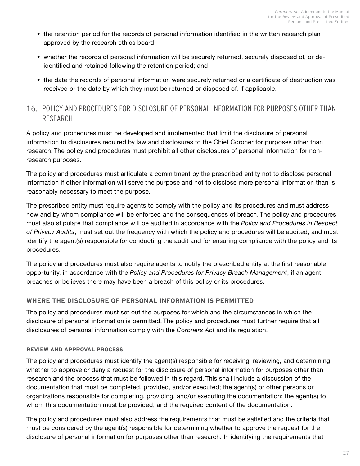- <span id="page-28-0"></span>• the retention period for the records of personal information identified in the written research plan approved by the research ethics board;
- whether the records of personal information will be securely returned, securely disposed of, or deidentified and retained following the retention period; and
- the date the records of personal information were securely returned or a certificate of destruction was received or the date by which they must be returned or disposed of, if applicable.

## 16. POLICY AND PROCEDURES FOR DISCLOSURE OF PERSONAL INFORMATION FOR PURPOSES OTHER THAN RESEARCH

A policy and procedures must be developed and implemented that limit the disclosure of personal information to disclosures required by law and disclosures to the Chief Coroner for purposes other than research. The policy and procedures must prohibit all other disclosures of personal information for nonresearch purposes.

The policy and procedures must articulate a commitment by the prescribed entity not to disclose personal information if other information will serve the purpose and not to disclose more personal information than is reasonably necessary to meet the purpose.

The prescribed entity must require agents to comply with the policy and its procedures and must address how and by whom compliance will be enforced and the consequences of breach. The policy and procedures must also stipulate that compliance will be audited in accordance with the *Policy and Procedures in Respect of Privacy Audits*, must set out the frequency with which the policy and procedures will be audited, and must identify the agent(s) responsible for conducting the audit and for ensuring compliance with the policy and its procedures.

The policy and procedures must also require agents to notify the prescribed entity at the first reasonable opportunity, in accordance with the *Policy and Procedures for Privacy Breach Management*, if an agent breaches or believes there may have been a breach of this policy or its procedures.

#### **WHERE THE DISCLOSURE OF PERSONAL INFORMATION IS PERMITTED**

The policy and procedures must set out the purposes for which and the circumstances in which the disclosure of personal information is permitted. The policy and procedures must further require that all disclosures of personal information comply with the *Coroners Act* and its regulation.

#### **REVIEW AND APPROVAL PROCESS**

The policy and procedures must identify the agent(s) responsible for receiving, reviewing, and determining whether to approve or deny a request for the disclosure of personal information for purposes other than research and the process that must be followed in this regard. This shall include a discussion of the documentation that must be completed, provided, and/or executed; the agent(s) or other persons or organizations responsible for completing, providing, and/or executing the documentation; the agent(s) to whom this documentation must be provided; and the required content of the documentation.

The policy and procedures must also address the requirements that must be satisfied and the criteria that must be considered by the agent(s) responsible for determining whether to approve the request for the disclosure of personal information for purposes other than research. In identifying the requirements that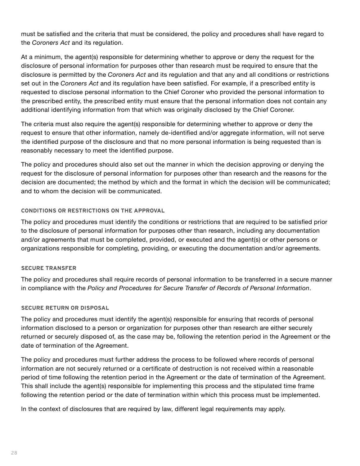must be satisfied and the criteria that must be considered, the policy and procedures shall have regard to the *Coroners Act* and its regulation.

At a minimum, the agent(s) responsible for determining whether to approve or deny the request for the disclosure of personal information for purposes other than research must be required to ensure that the disclosure is permitted by the *Coroners Act* and its regulation and that any and all conditions or restrictions set out in the *Coroners Act* and its regulation have been satisfied. For example, if a prescribed entity is requested to disclose personal information to the Chief Coroner who provided the personal information to the prescribed entity, the prescribed entity must ensure that the personal information does not contain any additional identifying information from that which was originally disclosed by the Chief Coroner.

The criteria must also require the agent(s) responsible for determining whether to approve or deny the request to ensure that other information, namely de-identified and/or aggregate information, will not serve the identified purpose of the disclosure and that no more personal information is being requested than is reasonably necessary to meet the identified purpose.

The policy and procedures should also set out the manner in which the decision approving or denying the request for the disclosure of personal information for purposes other than research and the reasons for the decision are documented; the method by which and the format in which the decision will be communicated; and to whom the decision will be communicated.

#### **CONDITIONS OR RESTRICTIONS ON THE APPROVAL**

The policy and procedures must identify the conditions or restrictions that are required to be satisfied prior to the disclosure of personal information for purposes other than research, including any documentation and/or agreements that must be completed, provided, or executed and the agent(s) or other persons or organizations responsible for completing, providing, or executing the documentation and/or agreements.

#### **SECURE TRANSFER**

The policy and procedures shall require records of personal information to be transferred in a secure manner in compliance with the *Policy and Procedures for Secure Transfer of Records of Personal Information*.

#### **SECURE RETURN OR DISPOSAL**

The policy and procedures must identify the agent(s) responsible for ensuring that records of personal information disclosed to a person or organization for purposes other than research are either securely returned or securely disposed of, as the case may be, following the retention period in the Agreement or the date of termination of the Agreement.

The policy and procedures must further address the process to be followed where records of personal information are not securely returned or a certificate of destruction is not received within a reasonable period of time following the retention period in the Agreement or the date of termination of the Agreement. This shall include the agent(s) responsible for implementing this process and the stipulated time frame following the retention period or the date of termination within which this process must be implemented.

In the context of disclosures that are required by law, different legal requirements may apply.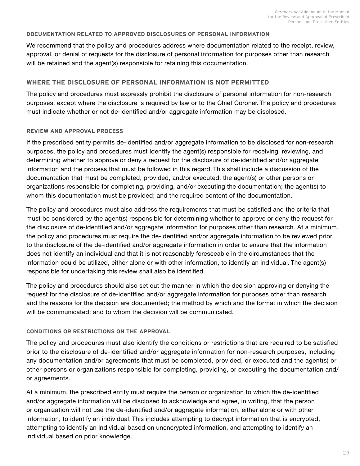#### **DOCUMENTATION RELATED TO APPROVED DISCLOSURES OF PERSONAL INFORMATION**

We recommend that the policy and procedures address where documentation related to the receipt, review, approval, or denial of requests for the disclosure of personal information for purposes other than research will be retained and the agent(s) responsible for retaining this documentation.

#### **WHERE THE DISCLOSURE OF PERSONAL INFORMATION IS NOT PERMITTED**

The policy and procedures must expressly prohibit the disclosure of personal information for non-research purposes, except where the disclosure is required by law or to the Chief Coroner. The policy and procedures must indicate whether or not de-identified and/or aggregate information may be disclosed.

#### **REVIEW AND APPROVAL PROCESS**

If the prescribed entity permits de-identified and/or aggregate information to be disclosed for non-research purposes, the policy and procedures must identify the agent(s) responsible for receiving, reviewing, and determining whether to approve or deny a request for the disclosure of de-identified and/or aggregate information and the process that must be followed in this regard. This shall include a discussion of the documentation that must be completed, provided, and/or executed; the agent(s) or other persons or organizations responsible for completing, providing, and/or executing the documentation; the agent(s) to whom this documentation must be provided; and the required content of the documentation.

The policy and procedures must also address the requirements that must be satisfied and the criteria that must be considered by the agent(s) responsible for determining whether to approve or deny the request for the disclosure of de-identified and/or aggregate information for purposes other than research. At a minimum, the policy and procedures must require the de-identified and/or aggregate information to be reviewed prior to the disclosure of the de-identified and/or aggregate information in order to ensure that the information does not identify an individual and that it is not reasonably foreseeable in the circumstances that the information could be utilized, either alone or with other information, to identify an individual. The agent(s) responsible for undertaking this review shall also be identified.

The policy and procedures should also set out the manner in which the decision approving or denying the request for the disclosure of de-identified and/or aggregate information for purposes other than research and the reasons for the decision are documented; the method by which and the format in which the decision will be communicated; and to whom the decision will be communicated.

#### **CONDITIONS OR RESTRICTIONS ON THE APPROVAL**

The policy and procedures must also identify the conditions or restrictions that are required to be satisfied prior to the disclosure of de-identified and/or aggregate information for non-research purposes, including any documentation and/or agreements that must be completed, provided, or executed and the agent(s) or other persons or organizations responsible for completing, providing, or executing the documentation and/ or agreements.

At a minimum, the prescribed entity must require the person or organization to which the de-identified and/or aggregate information will be disclosed to acknowledge and agree, in writing, that the person or organization will not use the de-identified and/or aggregate information, either alone or with other information, to identify an individual. This includes attempting to decrypt information that is encrypted, attempting to identify an individual based on unencrypted information, and attempting to identify an individual based on prior knowledge.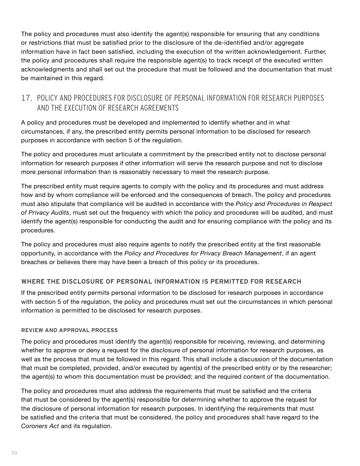<span id="page-31-0"></span>The policy and procedures must also identify the agent(s) responsible for ensuring that any conditions or restrictions that must be satisfied prior to the disclosure of the de-identified and/or aggregate information have in fact been satisfied, including the execution of the written acknowledgement. Further, the policy and procedures shall require the responsible agent(s) to track receipt of the executed written acknowledgments and shall set out the procedure that must be followed and the documentation that must be maintained in this regard.

## 17. POLICY AND PROCEDURES FOR DISCLOSURE OF PERSONAL INFORMATION FOR RESEARCH PURPOSES AND THE EXECUTION OF RESEARCH AGREEMENTS

A policy and procedures must be developed and implemented to identify whether and in what circumstances, if any, the prescribed entity permits personal information to be disclosed for research purposes in accordance with section 5 of the regulation.

The policy and procedures must articulate a commitment by the prescribed entity not to disclose personal information for research purposes if other information will serve the research purpose and not to disclose more personal information than is reasonably necessary to meet the research purpose.

The prescribed entity must require agents to comply with the policy and its procedures and must address how and by whom compliance will be enforced and the consequences of breach. The policy and procedures must also stipulate that compliance will be audited in accordance with the *Policy and Procedures in Respect of Privacy Audits*, must set out the frequency with which the policy and procedures will be audited, and must identify the agent(s) responsible for conducting the audit and for ensuring compliance with the policy and its procedures.

The policy and procedures must also require agents to notify the prescribed entity at the first reasonable opportunity, in accordance with the *Policy and Procedures for Privacy Breach Management*, if an agent breaches or believes there may have been a breach of this policy or its procedures.

#### **WHERE THE DISCLOSURE OF PERSONAL INFORMATION IS PERMITTED FOR RESEARCH**

If the prescribed entity permits personal information to be disclosed for research purposes in accordance with section 5 of the regulation, the policy and procedures must set out the circumstances in which personal information is permitted to be disclosed for research purposes.

#### **REVIEW AND APPROVAL PROCESS**

The policy and procedures must identify the agent(s) responsible for receiving, reviewing, and determining whether to approve or deny a request for the disclosure of personal information for research purposes, as well as the process that must be followed in this regard. This shall include a discussion of the documentation that must be completed, provided, and/or executed by agent(s) of the prescribed entity or by the researcher; the agent(s) to whom this documentation must be provided; and the required content of the documentation.

The policy and procedures must also address the requirements that must be satisfied and the criteria that must be considered by the agent(s) responsible for determining whether to approve the request for the disclosure of personal information for research purposes. In identifying the requirements that must be satisfied and the criteria that must be considered, the policy and procedures shall have regard to the *Coroners Act* and its regulation.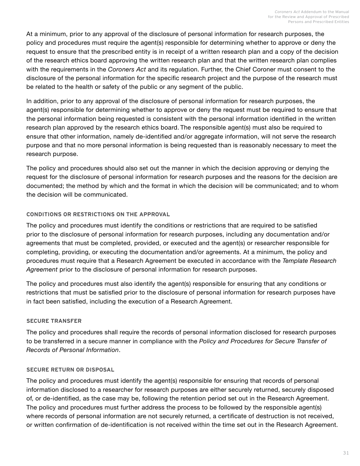At a minimum, prior to any approval of the disclosure of personal information for research purposes, the policy and procedures must require the agent(s) responsible for determining whether to approve or deny the request to ensure that the prescribed entity is in receipt of a written research plan and a copy of the decision of the research ethics board approving the written research plan and that the written research plan complies with the requirements in the *Coroners Act* and its regulation. Further, the Chief Coroner must consent to the disclosure of the personal information for the specific research project and the purpose of the research must be related to the health or safety of the public or any segment of the public.

In addition, prior to any approval of the disclosure of personal information for research purposes, the agent(s) responsible for determining whether to approve or deny the request must be required to ensure that the personal information being requested is consistent with the personal information identified in the written research plan approved by the research ethics board. The responsible agent(s) must also be required to ensure that other information, namely de-identified and/or aggregate information, will not serve the research purpose and that no more personal information is being requested than is reasonably necessary to meet the research purpose.

The policy and procedures should also set out the manner in which the decision approving or denying the request for the disclosure of personal information for research purposes and the reasons for the decision are documented; the method by which and the format in which the decision will be communicated; and to whom the decision will be communicated.

#### **CONDITIONS OR RESTRICTIONS ON THE APPROVAL**

The policy and procedures must identify the conditions or restrictions that are required to be satisfied prior to the disclosure of personal information for research purposes, including any documentation and/or agreements that must be completed, provided, or executed and the agent(s) or researcher responsible for completing, providing, or executing the documentation and/or agreements. At a minimum, the policy and procedures must require that a Research Agreement be executed in accordance with the *Template Research Agreement* prior to the disclosure of personal information for research purposes.

The policy and procedures must also identify the agent(s) responsible for ensuring that any conditions or restrictions that must be satisfied prior to the disclosure of personal information for research purposes have in fact been satisfied, including the execution of a Research Agreement.

#### **SECURE TRANSFER**

The policy and procedures shall require the records of personal information disclosed for research purposes to be transferred in a secure manner in compliance with the *Policy and Procedures for Secure Transfer of Records of Personal Information*.

#### **SECURE RETURN OR DISPOSAL**

The policy and procedures must identify the agent(s) responsible for ensuring that records of personal information disclosed to a researcher for research purposes are either securely returned, securely disposed of, or de-identified, as the case may be, following the retention period set out in the Research Agreement. The policy and procedures must further address the process to be followed by the responsible agent(s) where records of personal information are not securely returned, a certificate of destruction is not received, or written confirmation of de-identification is not received within the time set out in the Research Agreement.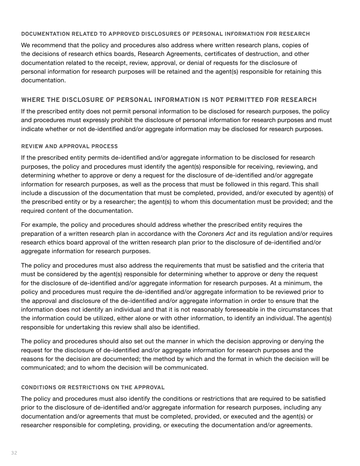#### **DOCUMENTATION RELATED TO APPROVED DISCLOSURES OF PERSONAL INFORMATION FOR RESEARCH**

We recommend that the policy and procedures also address where written research plans, copies of the decisions of research ethics boards, Research Agreements, certificates of destruction, and other documentation related to the receipt, review, approval, or denial of requests for the disclosure of personal information for research purposes will be retained and the agent(s) responsible for retaining this documentation.

#### **WHERE THE DISCLOSURE OF PERSONAL INFORMATION IS NOT PERMITTED FOR RESEARCH**

If the prescribed entity does not permit personal information to be disclosed for research purposes, the policy and procedures must expressly prohibit the disclosure of personal information for research purposes and must indicate whether or not de-identified and/or aggregate information may be disclosed for research purposes.

#### **REVIEW AND APPROVAL PROCESS**

If the prescribed entity permits de-identified and/or aggregate information to be disclosed for research purposes, the policy and procedures must identify the agent(s) responsible for receiving, reviewing, and determining whether to approve or deny a request for the disclosure of de-identified and/or aggregate information for research purposes, as well as the process that must be followed in this regard. This shall include a discussion of the documentation that must be completed, provided, and/or executed by agent(s) of the prescribed entity or by a researcher; the agent(s) to whom this documentation must be provided; and the required content of the documentation.

For example, the policy and procedures should address whether the prescribed entity requires the preparation of a written research plan in accordance with the *Coroners Act* and its regulation and/or requires research ethics board approval of the written research plan prior to the disclosure of de-identified and/or aggregate information for research purposes.

The policy and procedures must also address the requirements that must be satisfied and the criteria that must be considered by the agent(s) responsible for determining whether to approve or deny the request for the disclosure of de-identified and/or aggregate information for research purposes. At a minimum, the policy and procedures must require the de-identified and/or aggregate information to be reviewed prior to the approval and disclosure of the de-identified and/or aggregate information in order to ensure that the information does not identify an individual and that it is not reasonably foreseeable in the circumstances that the information could be utilized, either alone or with other information, to identify an individual. The agent(s) responsible for undertaking this review shall also be identified.

The policy and procedures should also set out the manner in which the decision approving or denying the request for the disclosure of de-identified and/or aggregate information for research purposes and the reasons for the decision are documented; the method by which and the format in which the decision will be communicated; and to whom the decision will be communicated.

#### **CONDITIONS OR RESTRICTIONS ON THE APPROVAL**

The policy and procedures must also identify the conditions or restrictions that are required to be satisfied prior to the disclosure of de-identified and/or aggregate information for research purposes, including any documentation and/or agreements that must be completed, provided, or executed and the agent(s) or researcher responsible for completing, providing, or executing the documentation and/or agreements.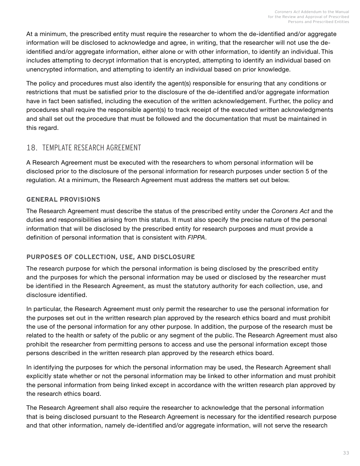<span id="page-34-0"></span>At a minimum, the prescribed entity must require the researcher to whom the de-identified and/or aggregate information will be disclosed to acknowledge and agree, in writing, that the researcher will not use the deidentified and/or aggregate information, either alone or with other information, to identify an individual. This includes attempting to decrypt information that is encrypted, attempting to identify an individual based on unencrypted information, and attempting to identify an individual based on prior knowledge.

The policy and procedures must also identify the agent(s) responsible for ensuring that any conditions or restrictions that must be satisfied prior to the disclosure of the de-identified and/or aggregate information have in fact been satisfied, including the execution of the written acknowledgement. Further, the policy and procedures shall require the responsible agent(s) to track receipt of the executed written acknowledgments and shall set out the procedure that must be followed and the documentation that must be maintained in this regard.

## 18. TEMPLATE RESEARCH AGREEMENT

A Research Agreement must be executed with the researchers to whom personal information will be disclosed prior to the disclosure of the personal information for research purposes under section 5 of the regulation. At a minimum, the Research Agreement must address the matters set out below.

#### **GENERAL PROVISIONS**

The Research Agreement must describe the status of the prescribed entity under the *Coroners Act* and the duties and responsibilities arising from this status. It must also specify the precise nature of the personal information that will be disclosed by the prescribed entity for research purposes and must provide a definition of personal information that is consistent with *FIPPA*.

#### **PURPOSES OF COLLECTION, USE, AND DISCLOSURE**

The research purpose for which the personal information is being disclosed by the prescribed entity and the purposes for which the personal information may be used or disclosed by the researcher must be identified in the Research Agreement, as must the statutory authority for each collection, use, and disclosure identified.

In particular, the Research Agreement must only permit the researcher to use the personal information for the purposes set out in the written research plan approved by the research ethics board and must prohibit the use of the personal information for any other purpose. In addition, the purpose of the research must be related to the health or safety of the public or any segment of the public. The Research Agreement must also prohibit the researcher from permitting persons to access and use the personal information except those persons described in the written research plan approved by the research ethics board.

In identifying the purposes for which the personal information may be used, the Research Agreement shall explicitly state whether or not the personal information may be linked to other information and must prohibit the personal information from being linked except in accordance with the written research plan approved by the research ethics board.

The Research Agreement shall also require the researcher to acknowledge that the personal information that is being disclosed pursuant to the Research Agreement is necessary for the identified research purpose and that other information, namely de-identified and/or aggregate information, will not serve the research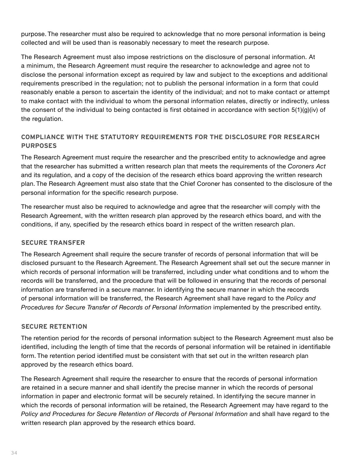purpose. The researcher must also be required to acknowledge that no more personal information is being collected and will be used than is reasonably necessary to meet the research purpose.

The Research Agreement must also impose restrictions on the disclosure of personal information. At a minimum, the Research Agreement must require the researcher to acknowledge and agree not to disclose the personal information except as required by law and subject to the exceptions and additional requirements prescribed in the regulation; not to publish the personal information in a form that could reasonably enable a person to ascertain the identity of the individual; and not to make contact or attempt to make contact with the individual to whom the personal information relates, directly or indirectly, unless the consent of the individual to being contacted is first obtained in accordance with section 5(1)(g)(iv) of the regulation.

### **COMPLIANCE WITH THE STATUTORY REQUIREMENTS FOR THE DISCLOSURE FOR RESEARCH PURPOSES**

The Research Agreement must require the researcher and the prescribed entity to acknowledge and agree that the researcher has submitted a written research plan that meets the requirements of the *Coroners Act*  and its regulation, and a copy of the decision of the research ethics board approving the written research plan. The Research Agreement must also state that the Chief Coroner has consented to the disclosure of the personal information for the specific research purpose.

The researcher must also be required to acknowledge and agree that the researcher will comply with the Research Agreement, with the written research plan approved by the research ethics board, and with the conditions, if any, specified by the research ethics board in respect of the written research plan.

#### **SECURE TRANSFER**

The Research Agreement shall require the secure transfer of records of personal information that will be disclosed pursuant to the Research Agreement. The Research Agreement shall set out the secure manner in which records of personal information will be transferred, including under what conditions and to whom the records will be transferred, and the procedure that will be followed in ensuring that the records of personal information are transferred in a secure manner. In identifying the secure manner in which the records of personal information will be transferred, the Research Agreement shall have regard to the *Policy and Procedures for Secure Transfer of Records of Personal Information* implemented by the prescribed entity.

#### **SECURE RETENTION**

The retention period for the records of personal information subject to the Research Agreement must also be identified, including the length of time that the records of personal information will be retained in identifiable form. The retention period identified must be consistent with that set out in the written research plan approved by the research ethics board.

The Research Agreement shall require the researcher to ensure that the records of personal information are retained in a secure manner and shall identify the precise manner in which the records of personal information in paper and electronic format will be securely retained. In identifying the secure manner in which the records of personal information will be retained, the Research Agreement may have regard to the Policy and Procedures for Secure Retention of Records of Personal Information and shall have regard to the written research plan approved by the research ethics board.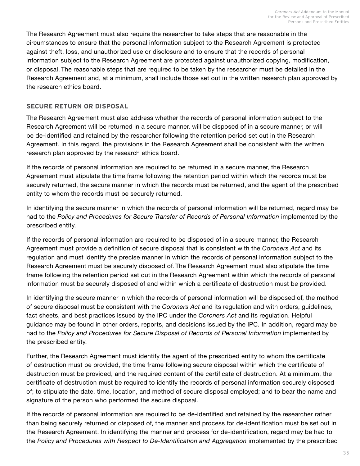The Research Agreement must also require the researcher to take steps that are reasonable in the circumstances to ensure that the personal information subject to the Research Agreement is protected against theft, loss, and unauthorized use or disclosure and to ensure that the records of personal information subject to the Research Agreement are protected against unauthorized copying, modification, or disposal. The reasonable steps that are required to be taken by the researcher must be detailed in the Research Agreement and, at a minimum, shall include those set out in the written research plan approved by the research ethics board.

#### **SECURE RETURN OR DISPOSAL**

The Research Agreement must also address whether the records of personal information subject to the Research Agreement will be returned in a secure manner, will be disposed of in a secure manner, or will be de-identified and retained by the researcher following the retention period set out in the Research Agreement. In this regard, the provisions in the Research Agreement shall be consistent with the written research plan approved by the research ethics board.

If the records of personal information are required to be returned in a secure manner, the Research Agreement must stipulate the time frame following the retention period within which the records must be securely returned, the secure manner in which the records must be returned, and the agent of the prescribed entity to whom the records must be securely returned.

In identifying the secure manner in which the records of personal information will be returned, regard may be had to the Policy and Procedures for Secure Transfer of Records of Personal Information implemented by the prescribed entity.

If the records of personal information are required to be disposed of in a secure manner, the Research Agreement must provide a definition of secure disposal that is consistent with the *Coroners Act* and its regulation and must identify the precise manner in which the records of personal information subject to the Research Agreement must be securely disposed of. The Research Agreement must also stipulate the time frame following the retention period set out in the Research Agreement within which the records of personal information must be securely disposed of and within which a certificate of destruction must be provided.

In identifying the secure manner in which the records of personal information will be disposed of, the method of secure disposal must be consistent with the *Coroners Act* and its regulation and with orders, guidelines, fact sheets, and best practices issued by the IPC under the *Coroners Act* and its regulation. Helpful guidance may be found in other orders, reports, and decisions issued by the IPC. In addition, regard may be had to the Policy and Procedures for Secure Disposal of Records of Personal Information implemented by the prescribed entity.

Further, the Research Agreement must identify the agent of the prescribed entity to whom the certificate of destruction must be provided, the time frame following secure disposal within which the certificate of destruction must be provided, and the required content of the certificate of destruction. At a minimum, the certificate of destruction must be required to identify the records of personal information securely disposed of; to stipulate the date, time, location, and method of secure disposal employed; and to bear the name and signature of the person who performed the secure disposal.

If the records of personal information are required to be de-identified and retained by the researcher rather than being securely returned or disposed of, the manner and process for de-identification must be set out in the Research Agreement. In identifying the manner and process for de-identification, regard may be had to the *Policy and Procedures with Respect to De-Identification and Aggregation* implemented by the prescribed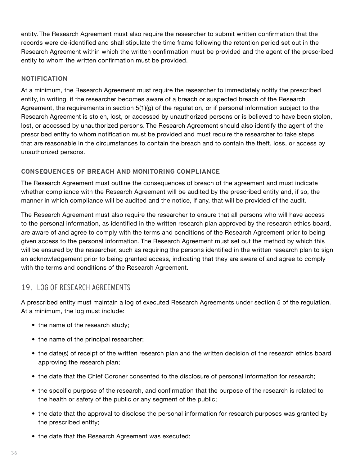<span id="page-37-0"></span>entity. The Research Agreement must also require the researcher to submit written confirmation that the records were de-identified and shall stipulate the time frame following the retention period set out in the Research Agreement within which the written confirmation must be provided and the agent of the prescribed entity to whom the written confirmation must be provided.

#### **NOTIFICATION**

At a minimum, the Research Agreement must require the researcher to immediately notify the prescribed entity, in writing, if the researcher becomes aware of a breach or suspected breach of the Research Agreement, the requirements in section 5(1)(g) of the regulation, or if personal information subject to the Research Agreement is stolen, lost, or accessed by unauthorized persons or is believed to have been stolen, lost, or accessed by unauthorized persons. The Research Agreement should also identify the agent of the prescribed entity to whom notification must be provided and must require the researcher to take steps that are reasonable in the circumstances to contain the breach and to contain the theft, loss, or access by unauthorized persons.

#### **CONSEQUENCES OF BREACH AND MONITORING COMPLIANCE**

The Research Agreement must outline the consequences of breach of the agreement and must indicate whether compliance with the Research Agreement will be audited by the prescribed entity and, if so, the manner in which compliance will be audited and the notice, if any, that will be provided of the audit.

The Research Agreement must also require the researcher to ensure that all persons who will have access to the personal information, as identified in the written research plan approved by the research ethics board, are aware of and agree to comply with the terms and conditions of the Research Agreement prior to being given access to the personal information. The Research Agreement must set out the method by which this will be ensured by the researcher, such as requiring the persons identified in the written research plan to sign an acknowledgement prior to being granted access, indicating that they are aware of and agree to comply with the terms and conditions of the Research Agreement.

### 19. LOG OF RESEARCH AGREEMENTS

A prescribed entity must maintain a log of executed Research Agreements under section 5 of the regulation. At a minimum, the log must include:

- the name of the research study;
- the name of the principal researcher;
- the date(s) of receipt of the written research plan and the written decision of the research ethics board approving the research plan;
- the date that the Chief Coroner consented to the disclosure of personal information for research;
- the specific purpose of the research, and confirmation that the purpose of the research is related to the health or safety of the public or any segment of the public;
- the date that the approval to disclose the personal information for research purposes was granted by the prescribed entity;
- the date that the Research Agreement was executed;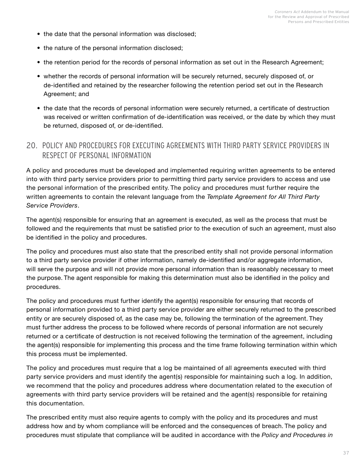- <span id="page-38-0"></span>• the date that the personal information was disclosed;
- the nature of the personal information disclosed;
- the retention period for the records of personal information as set out in the Research Agreement;
- whether the records of personal information will be securely returned, securely disposed of, or de-identified and retained by the researcher following the retention period set out in the Research Agreement; and
- the date that the records of personal information were securely returned, a certificate of destruction was received or written confirmation of de-identification was received, or the date by which they must be returned, disposed of, or de-identified.

### 20. POLICY AND PROCEDURES FOR EXECUTING AGREEMENTS WITH THIRD PARTY SERVICE PROVIDERS IN RESPECT OF PERSONAL INFORMATION

A policy and procedures must be developed and implemented requiring written agreements to be entered into with third party service providers prior to permitting third party service providers to access and use the personal information of the prescribed entity. The policy and procedures must further require the written agreements to contain the relevant language from the *Template Agreement for All Third Party Service Providers*.

The agent(s) responsible for ensuring that an agreement is executed, as well as the process that must be followed and the requirements that must be satisfied prior to the execution of such an agreement, must also be identified in the policy and procedures.

The policy and procedures must also state that the prescribed entity shall not provide personal information to a third party service provider if other information, namely de-identified and/or aggregate information, will serve the purpose and will not provide more personal information than is reasonably necessary to meet the purpose. The agent responsible for making this determination must also be identified in the policy and procedures.

The policy and procedures must further identify the agent(s) responsible for ensuring that records of personal information provided to a third party service provider are either securely returned to the prescribed entity or are securely disposed of, as the case may be, following the termination of the agreement. They must further address the process to be followed where records of personal information are not securely returned or a certificate of destruction is not received following the termination of the agreement, including the agent(s) responsible for implementing this process and the time frame following termination within which this process must be implemented.

The policy and procedures must require that a log be maintained of all agreements executed with third party service providers and must identify the agent(s) responsible for maintaining such a log. In addition, we recommend that the policy and procedures address where documentation related to the execution of agreements with third party service providers will be retained and the agent(s) responsible for retaining this documentation.

The prescribed entity must also require agents to comply with the policy and its procedures and must address how and by whom compliance will be enforced and the consequences of breach. The policy and procedures must stipulate that compliance will be audited in accordance with the *Policy and Procedures in*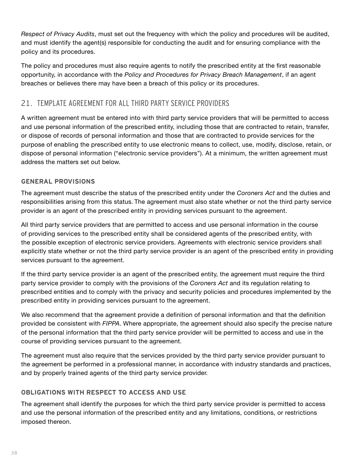<span id="page-39-0"></span>*Respect of Privacy Audits*, must set out the frequency with which the policy and procedures will be audited, and must identify the agent(s) responsible for conducting the audit and for ensuring compliance with the policy and its procedures.

The policy and procedures must also require agents to notify the prescribed entity at the first reasonable opportunity, in accordance with the *Policy and Procedures for Privacy Breach Management*, if an agent breaches or believes there may have been a breach of this policy or its procedures.

## 21. TEMPLATE AGREEMENT FOR ALL THIRD PARTY SERVICE PROVIDERS

A written agreement must be entered into with third party service providers that will be permitted to access and use personal information of the prescribed entity, including those that are contracted to retain, transfer, or dispose of records of personal information and those that are contracted to provide services for the purpose of enabling the prescribed entity to use electronic means to collect, use, modify, disclose, retain, or dispose of personal information ("electronic service providers"). At a minimum, the written agreement must address the matters set out below.

#### **GENERAL PROVISIONS**

The agreement must describe the status of the prescribed entity under the *Coroners Act* and the duties and responsibilities arising from this status. The agreement must also state whether or not the third party service provider is an agent of the prescribed entity in providing services pursuant to the agreement.

All third party service providers that are permitted to access and use personal information in the course of providing services to the prescribed entity shall be considered agents of the prescribed entity, with the possible exception of electronic service providers. Agreements with electronic service providers shall explicitly state whether or not the third party service provider is an agent of the prescribed entity in providing services pursuant to the agreement.

If the third party service provider is an agent of the prescribed entity, the agreement must require the third party service provider to comply with the provisions of the *Coroners Act* and its regulation relating to prescribed entities and to comply with the privacy and security policies and procedures implemented by the prescribed entity in providing services pursuant to the agreement.

We also recommend that the agreement provide a definition of personal information and that the definition provided be consistent with *FIPPA*. Where appropriate, the agreement should also specify the precise nature of the personal information that the third party service provider will be permitted to access and use in the course of providing services pursuant to the agreement.

The agreement must also require that the services provided by the third party service provider pursuant to the agreement be performed in a professional manner, in accordance with industry standards and practices, and by properly trained agents of the third party service provider.

#### **OBLIGATIONS WITH RESPECT TO ACCESS AND USE**

The agreement shall identify the purposes for which the third party service provider is permitted to access and use the personal information of the prescribed entity and any limitations, conditions, or restrictions imposed thereon.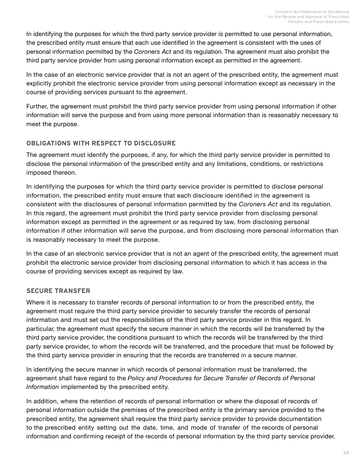In identifying the purposes for which the third party service provider is permitted to use personal information, the prescribed entity must ensure that each use identified in the agreement is consistent with the uses of personal information permitted by the *Coroners Act* and its regulation. The agreement must also prohibit the third party service provider from using personal information except as permitted in the agreement.

In the case of an electronic service provider that is not an agent of the prescribed entity, the agreement must explicitly prohibit the electronic service provider from using personal information except as necessary in the course of providing services pursuant to the agreement.

Further, the agreement must prohibit the third party service provider from using personal information if other information will serve the purpose and from using more personal information than is reasonably necessary to meet the purpose.

#### **OBLIGATIONS WITH RESPECT TO DISCLOSURE**

The agreement must identify the purposes, if any, for which the third party service provider is permitted to disclose the personal information of the prescribed entity and any limitations, conditions, or restrictions imposed thereon.

In identifying the purposes for which the third party service provider is permitted to disclose personal information, the prescribed entity must ensure that each disclosure identified in the agreement is consistent with the disclosures of personal information permitted by the *Coroners Act* and its regulation. In this regard, the agreement must prohibit the third party service provider from disclosing personal information except as permitted in the agreement or as required by law, from disclosing personal information if other information will serve the purpose, and from disclosing more personal information than is reasonably necessary to meet the purpose.

In the case of an electronic service provider that is not an agent of the prescribed entity, the agreement must prohibit the electronic service provider from disclosing personal information to which it has access in the course of providing services except as required by law.

#### **SECURE TRANSFER**

Where it is necessary to transfer records of personal information to or from the prescribed entity, the agreement must require the third party service provider to securely transfer the records of personal information and must set out the responsibilities of the third party service provider in this regard. In particular, the agreement must specify the secure manner in which the records will be transferred by the third party service provider, the conditions pursuant to which the records will be transferred by the third party service provider, to whom the records will be transferred, and the procedure that must be followed by the third party service provider in ensuring that the records are transferred in a secure manner.

In identifying the secure manner in which records of personal information must be transferred, the agreement shall have regard to the *Policy and Procedures for Secure Transfer of Records of Personal Information* implemented by the prescribed entity.

In addition, where the retention of records of personal information or where the disposal of records of personal information outside the premises of the prescribed entity is the primary service provided to the prescribed entity, the agreement shall require the third party service provider to provide documentation to the prescribed entity setting out the date, time, and mode of transfer of the records of personal information and confirming receipt of the records of personal information by the third party service provider.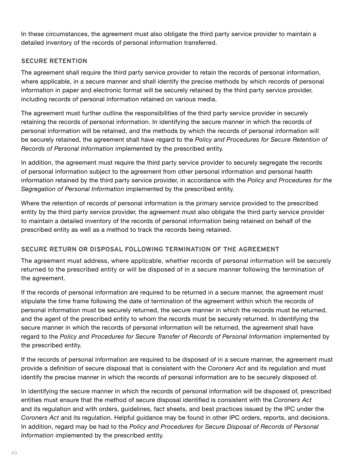In these circumstances, the agreement must also obligate the third party service provider to maintain a detailed inventory of the records of personal information transferred.

#### **SECURE RETENTION**

The agreement shall require the third party service provider to retain the records of personal information, where applicable, in a secure manner and shall identify the precise methods by which records of personal information in paper and electronic format will be securely retained by the third party service provider, including records of personal information retained on various media.

The agreement must further outline the responsibilities of the third party service provider in securely retaining the records of personal information. In identifying the secure manner in which the records of personal information will be retained, and the methods by which the records of personal information will be securely retained, the agreement shall have regard to the *Policy and Procedures for Secure Retention of Records of Personal Information* implemented by the prescribed entity.

In addition, the agreement must require the third party service provider to securely segregate the records of personal information subject to the agreement from other personal information and personal health information retained by the third party service provider, in accordance with the *Policy and Procedures for the Segregation of Personal Information* implemented by the prescribed entity.

Where the retention of records of personal information is the primary service provided to the prescribed entity by the third party service provider, the agreement must also obligate the third party service provider to maintain a detailed inventory of the records of personal information being retained on behalf of the prescribed entity as well as a method to track the records being retained.

#### **SECURE RETURN OR DISPOSAL FOLLOWING TERMINATION OF THE AGREEMENT**

The agreement must address, where applicable, whether records of personal information will be securely returned to the prescribed entity or will be disposed of in a secure manner following the termination of the agreement.

If the records of personal information are required to be returned in a secure manner, the agreement must stipulate the time frame following the date of termination of the agreement within which the records of personal information must be securely returned, the secure manner in which the records must be returned, and the agent of the prescribed entity to whom the records must be securely returned. In identifying the secure manner in which the records of personal information will be returned, the agreement shall have regard to the *Policy and Procedures for Secure Transfer of Records of Personal Information* implemented by the prescribed entity.

If the records of personal information are required to be disposed of in a secure manner, the agreement must provide a definition of secure disposal that is consistent with the *Coroners Act* and its regulation and must identify the precise manner in which the records of personal information are to be securely disposed of.

In identifying the secure manner in which the records of personal information will be disposed of, prescribed entities must ensure that the method of secure disposal identified is consistent with the *Coroners Act*  and its regulation and with orders, guidelines, fact sheets, and best practices issued by the IPC under the *Coroners Act* and its regulation. Helpful guidance may be found in other IPC orders, reports, and decisions. In addition, regard may be had to the *Policy and Procedures for Secure Disposal of Records of Personal Information* implemented by the prescribed entity.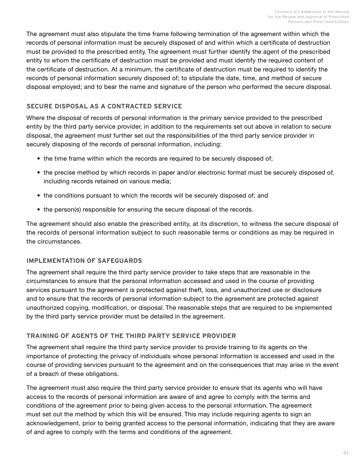The agreement must also stipulate the time frame following termination of the agreement within which the records of personal information must be securely disposed of and within which a certificate of destruction must be provided to the prescribed entity. The agreement must further identify the agent of the prescribed entity to whom the certificate of destruction must be provided and must identify the required content of the certificate of destruction. At a minimum, the certificate of destruction must be required to identify the records of personal information securely disposed of; to stipulate the date, time, and method of secure disposal employed; and to bear the name and signature of the person who performed the secure disposal.

#### **SECURE DISPOSAL AS A CONTRACTED SERVICE**

Where the disposal of records of personal information is the primary service provided to the prescribed entity by the third party service provider, in addition to the requirements set out above in relation to secure disposal, the agreement must further set out the responsibilities of the third party service provider in securely disposing of the records of personal information, including:

- the time frame within which the records are required to be securely disposed of;
- the precise method by which records in paper and/or electronic format must be securely disposed of, including records retained on various media;
- the conditions pursuant to which the records will be securely disposed of; and
- the person(s) responsible for ensuring the secure disposal of the records.

The agreement should also enable the prescribed entity, at its discretion, to witness the secure disposal of the records of personal information subject to such reasonable terms or conditions as may be required in the circumstances.

#### **IMPLEMENTATION OF SAFEGUARDS**

The agreement shall require the third party service provider to take steps that are reasonable in the circumstances to ensure that the personal information accessed and used in the course of providing services pursuant to the agreement is protected against theft, loss, and unauthorized use or disclosure and to ensure that the records of personal information subject to the agreement are protected against unauthorized copying, modification, or disposal. The reasonable steps that are required to be implemented by the third party service provider must be detailed in the agreement.

#### **TRAINING OF AGENTS OF THE THIRD PARTY SERVICE PROVIDER**

The agreement shall require the third party service provider to provide training to its agents on the importance of protecting the privacy of individuals whose personal information is accessed and used in the course of providing services pursuant to the agreement and on the consequences that may arise in the event of a breach of these obligations.

The agreement must also require the third party service provider to ensure that its agents who will have access to the records of personal information are aware of and agree to comply with the terms and conditions of the agreement prior to being given access to the personal information. The agreement must set out the method by which this will be ensured. This may include requiring agents to sign an acknowledgement, prior to being granted access to the personal information, indicating that they are aware of and agree to comply with the terms and conditions of the agreement.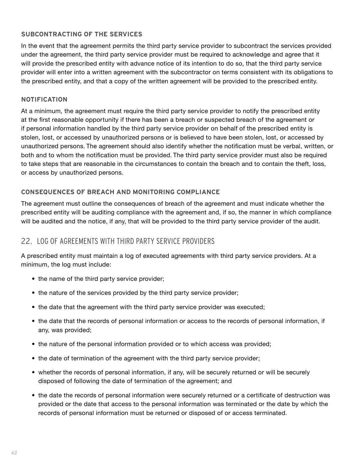#### <span id="page-43-0"></span>**SUBCONTRACTING OF THE SERVICES**

In the event that the agreement permits the third party service provider to subcontract the services provided under the agreement, the third party service provider must be required to acknowledge and agree that it will provide the prescribed entity with advance notice of its intention to do so, that the third party service provider will enter into a written agreement with the subcontractor on terms consistent with its obligations to the prescribed entity, and that a copy of the written agreement will be provided to the prescribed entity.

#### **NOTIFICATION**

At a minimum, the agreement must require the third party service provider to notify the prescribed entity at the first reasonable opportunity if there has been a breach or suspected breach of the agreement or if personal information handled by the third party service provider on behalf of the prescribed entity is stolen, lost, or accessed by unauthorized persons or is believed to have been stolen, lost, or accessed by unauthorized persons. The agreement should also identify whether the notification must be verbal, written, or both and to whom the notification must be provided. The third party service provider must also be required to take steps that are reasonable in the circumstances to contain the breach and to contain the theft, loss, or access by unauthorized persons.

#### **CONSEQUENCES OF BREACH AND MONITORING COMPLIANCE**

The agreement must outline the consequences of breach of the agreement and must indicate whether the prescribed entity will be auditing compliance with the agreement and, if so, the manner in which compliance will be audited and the notice, if any, that will be provided to the third party service provider of the audit.

### 22. LOG OF AGREEMENTS WITH THIRD PARTY SERVICE PROVIDERS

A prescribed entity must maintain a log of executed agreements with third party service providers. At a minimum, the log must include:

- the name of the third party service provider;
- the nature of the services provided by the third party service provider;
- the date that the agreement with the third party service provider was executed;
- the date that the records of personal information or access to the records of personal information, if any, was provided;
- the nature of the personal information provided or to which access was provided;
- the date of termination of the agreement with the third party service provider;
- whether the records of personal information, if any, will be securely returned or will be securely disposed of following the date of termination of the agreement; and
- the date the records of personal information were securely returned or a certificate of destruction was provided or the date that access to the personal information was terminated or the date by which the records of personal information must be returned or disposed of or access terminated.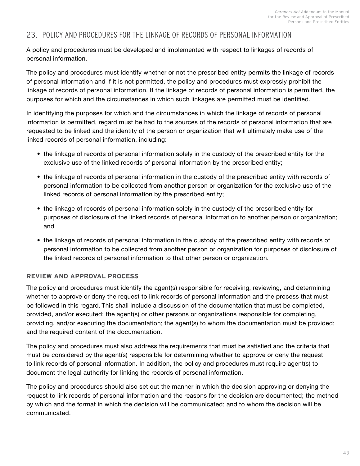### <span id="page-44-0"></span>23. POLICY AND PROCEDURES FOR THE LINKAGE OF RECORDS OF PERSONAL INFORMATION

A policy and procedures must be developed and implemented with respect to linkages of records of personal information.

The policy and procedures must identify whether or not the prescribed entity permits the linkage of records of personal information and if it is not permitted, the policy and procedures must expressly prohibit the linkage of records of personal information. If the linkage of records of personal information is permitted, the purposes for which and the circumstances in which such linkages are permitted must be identified.

In identifying the purposes for which and the circumstances in which the linkage of records of personal information is permitted, regard must be had to the sources of the records of personal information that are requested to be linked and the identity of the person or organization that will ultimately make use of the linked records of personal information, including:

- the linkage of records of personal information solely in the custody of the prescribed entity for the exclusive use of the linked records of personal information by the prescribed entity;
- the linkage of records of personal information in the custody of the prescribed entity with records of personal information to be collected from another person or organization for the exclusive use of the linked records of personal information by the prescribed entity;
- the linkage of records of personal information solely in the custody of the prescribed entity for purposes of disclosure of the linked records of personal information to another person or organization; and
- the linkage of records of personal information in the custody of the prescribed entity with records of personal information to be collected from another person or organization for purposes of disclosure of the linked records of personal information to that other person or organization.

#### **REVIEW AND APPROVAL PROCESS**

The policy and procedures must identify the agent(s) responsible for receiving, reviewing, and determining whether to approve or deny the request to link records of personal information and the process that must be followed in this regard. This shall include a discussion of the documentation that must be completed, provided, and/or executed; the agent(s) or other persons or organizations responsible for completing, providing, and/or executing the documentation; the agent(s) to whom the documentation must be provided; and the required content of the documentation.

The policy and procedures must also address the requirements that must be satisfied and the criteria that must be considered by the agent(s) responsible for determining whether to approve or deny the request to link records of personal information. In addition, the policy and procedures must require agent(s) to document the legal authority for linking the records of personal information.

The policy and procedures should also set out the manner in which the decision approving or denying the request to link records of personal information and the reasons for the decision are documented; the method by which and the format in which the decision will be communicated; and to whom the decision will be communicated.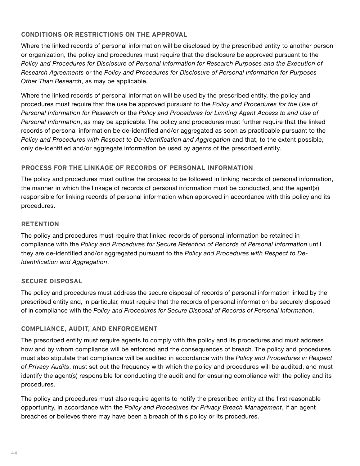#### **CONDITIONS OR RESTRICTIONS ON THE APPROVAL**

Where the linked records of personal information will be disclosed by the prescribed entity to another person or organization, the policy and procedures must require that the disclosure be approved pursuant to the *Policy and Procedures for Disclosure of Personal Information for Research Purposes and the Execution of Research Agreements* or the *Policy and Procedures for Disclosure of Personal Information for Purposes Other Than Research*, as may be applicable.

Where the linked records of personal information will be used by the prescribed entity, the policy and procedures must require that the use be approved pursuant to the *Policy and Procedures for the Use of Personal Information for Research* or the *Policy and Procedures for Limiting Agent Access to and Use of Personal Information*, as may be applicable. The policy and procedures must further require that the linked records of personal information be de-identified and/or aggregated as soon as practicable pursuant to the *Policy and Procedures with Respect to De-Identification and Aggregation and that, to the extent possible,* only de-identified and/or aggregate information be used by agents of the prescribed entity.

#### **PROCESS FOR THE LINKAGE OF RECORDS OF PERSONAL INFORMATION**

The policy and procedures must outline the process to be followed in linking records of personal information, the manner in which the linkage of records of personal information must be conducted, and the agent(s) responsible for linking records of personal information when approved in accordance with this policy and its procedures.

#### **RETENTION**

The policy and procedures must require that linked records of personal information be retained in compliance with the *Policy and Procedures for Secure Retention of Records of Personal Information* until they are de-identified and/or aggregated pursuant to the *Policy and Procedures with Respect to De-Identification and Aggregation*.

#### **SECURE DISPOSAL**

The policy and procedures must address the secure disposal of records of personal information linked by the prescribed entity and, in particular, must require that the records of personal information be securely disposed of in compliance with the *Policy and Procedures for Secure Disposal of Records of Personal Information*.

#### **COMPLIANCE, AUDIT, AND ENFORCEMENT**

The prescribed entity must require agents to comply with the policy and its procedures and must address how and by whom compliance will be enforced and the consequences of breach. The policy and procedures must also stipulate that compliance will be audited in accordance with the *Policy and Procedures in Respect of Privacy Audits*, must set out the frequency with which the policy and procedures will be audited, and must identify the agent(s) responsible for conducting the audit and for ensuring compliance with the policy and its procedures.

The policy and procedures must also require agents to notify the prescribed entity at the first reasonable opportunity, in accordance with the *Policy and Procedures for Privacy Breach Management*, if an agent breaches or believes there may have been a breach of this policy or its procedures.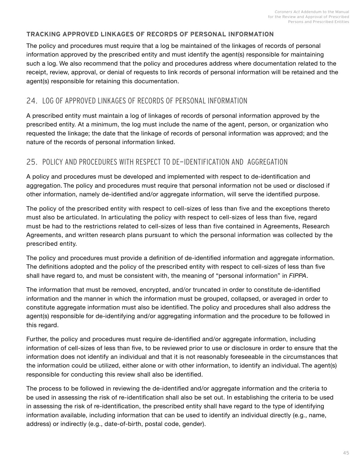#### <span id="page-46-0"></span>**TRACKING APPROVED LINKAGES OF RECORDS OF PERSONAL INFORMATION**

The policy and procedures must require that a log be maintained of the linkages of records of personal information approved by the prescribed entity and must identify the agent(s) responsible for maintaining such a log. We also recommend that the policy and procedures address where documentation related to the receipt, review, approval, or denial of requests to link records of personal information will be retained and the agent(s) responsible for retaining this documentation.

### 24. LOG OF APPROVED LINKAGES OF RECORDS OF PERSONAL INFORMATION

A prescribed entity must maintain a log of linkages of records of personal information approved by the prescribed entity. At a minimum, the log must include the name of the agent, person, or organization who requested the linkage; the date that the linkage of records of personal information was approved; and the nature of the records of personal information linked.

### 25. POLICY AND PROCEDURES WITH RESPECT TO DE-IDENTIFICATION AND AGGREGATION

A policy and procedures must be developed and implemented with respect to de-identification and aggregation. The policy and procedures must require that personal information not be used or disclosed if other information, namely de-identified and/or aggregate information, will serve the identified purpose.

The policy of the prescribed entity with respect to cell-sizes of less than five and the exceptions thereto must also be articulated. In articulating the policy with respect to cell-sizes of less than five, regard must be had to the restrictions related to cell-sizes of less than five contained in Agreements, Research Agreements, and written research plans pursuant to which the personal information was collected by the prescribed entity.

The policy and procedures must provide a definition of de-identified information and aggregate information. The definitions adopted and the policy of the prescribed entity with respect to cell-sizes of less than five shall have regard to, and must be consistent with, the meaning of "personal information" in *FIPPA*.

The information that must be removed, encrypted, and/or truncated in order to constitute de-identified information and the manner in which the information must be grouped, collapsed, or averaged in order to constitute aggregate information must also be identified. The policy and procedures shall also address the agent(s) responsible for de-identifying and/or aggregating information and the procedure to be followed in this regard.

Further, the policy and procedures must require de-identified and/or aggregate information, including information of cell-sizes of less than five, to be reviewed prior to use or disclosure in order to ensure that the information does not identify an individual and that it is not reasonably foreseeable in the circumstances that the information could be utilized, either alone or with other information, to identify an individual. The agent(s) responsible for conducting this review shall also be identified.

The process to be followed in reviewing the de-identified and/or aggregate information and the criteria to be used in assessing the risk of re-identification shall also be set out. In establishing the criteria to be used in assessing the risk of re-identification, the prescribed entity shall have regard to the type of identifying information available, including information that can be used to identify an individual directly (e.g., name, address) or indirectly (e.g., date-of-birth, postal code, gender).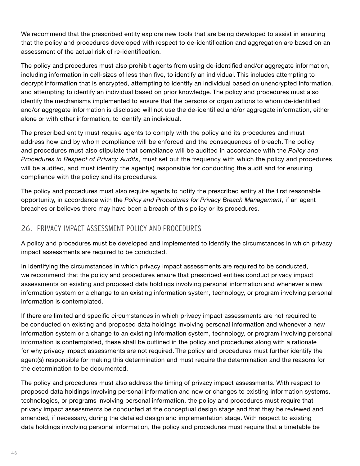<span id="page-47-0"></span>We recommend that the prescribed entity explore new tools that are being developed to assist in ensuring that the policy and procedures developed with respect to de-identification and aggregation are based on an assessment of the actual risk of re-identification.

The policy and procedures must also prohibit agents from using de-identified and/or aggregate information, including information in cell-sizes of less than five, to identify an individual. This includes attempting to decrypt information that is encrypted, attempting to identify an individual based on unencrypted information, and attempting to identify an individual based on prior knowledge. The policy and procedures must also identify the mechanisms implemented to ensure that the persons or organizations to whom de-identified and/or aggregate information is disclosed will not use the de-identified and/or aggregate information, either alone or with other information, to identify an individual.

The prescribed entity must require agents to comply with the policy and its procedures and must address how and by whom compliance will be enforced and the consequences of breach. The policy and procedures must also stipulate that compliance will be audited in accordance with the *Policy and Procedures in Respect of Privacy Audits*, must set out the frequency with which the policy and procedures will be audited, and must identify the agent(s) responsible for conducting the audit and for ensuring compliance with the policy and its procedures.

The policy and procedures must also require agents to notify the prescribed entity at the first reasonable opportunity, in accordance with the *Policy and Procedures for Privacy Breach Management*, if an agent breaches or believes there may have been a breach of this policy or its procedures.

## 26. PRIVACY IMPACT ASSESSMENT POLICY AND PROCEDURES

A policy and procedures must be developed and implemented to identify the circumstances in which privacy impact assessments are required to be conducted.

In identifying the circumstances in which privacy impact assessments are required to be conducted, we recommend that the policy and procedures ensure that prescribed entities conduct privacy impact assessments on existing and proposed data holdings involving personal information and whenever a new information system or a change to an existing information system, technology, or program involving personal information is contemplated.

If there are limited and specific circumstances in which privacy impact assessments are not required to be conducted on existing and proposed data holdings involving personal information and whenever a new information system or a change to an existing information system, technology, or program involving personal information is contemplated, these shall be outlined in the policy and procedures along with a rationale for why privacy impact assessments are not required. The policy and procedures must further identify the agent(s) responsible for making this determination and must require the determination and the reasons for the determination to be documented.

The policy and procedures must also address the timing of privacy impact assessments. With respect to proposed data holdings involving personal information and new or changes to existing information systems, technologies, or programs involving personal information, the policy and procedures must require that privacy impact assessments be conducted at the conceptual design stage and that they be reviewed and amended, if necessary, during the detailed design and implementation stage. With respect to existing data holdings involving personal information, the policy and procedures must require that a timetable be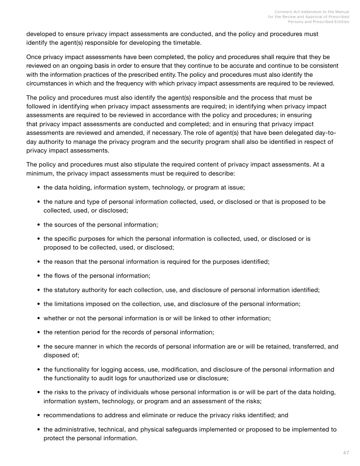developed to ensure privacy impact assessments are conducted, and the policy and procedures must identify the agent(s) responsible for developing the timetable.

Once privacy impact assessments have been completed, the policy and procedures shall require that they be reviewed on an ongoing basis in order to ensure that they continue to be accurate and continue to be consistent with the information practices of the prescribed entity. The policy and procedures must also identify the circumstances in which and the frequency with which privacy impact assessments are required to be reviewed.

The policy and procedures must also identify the agent(s) responsible and the process that must be followed in identifying when privacy impact assessments are required; in identifying when privacy impact assessments are required to be reviewed in accordance with the policy and procedures; in ensuring that privacy impact assessments are conducted and completed; and in ensuring that privacy impact assessments are reviewed and amended, if necessary. The role of agent(s) that have been delegated day-today authority to manage the privacy program and the security program shall also be identified in respect of privacy impact assessments.

The policy and procedures must also stipulate the required content of privacy impact assessments. At a minimum, the privacy impact assessments must be required to describe:

- the data holding, information system, technology, or program at issue;
- the nature and type of personal information collected, used, or disclosed or that is proposed to be collected, used, or disclosed;
- the sources of the personal information;
- the specific purposes for which the personal information is collected, used, or disclosed or is proposed to be collected, used, or disclosed;
- the reason that the personal information is required for the purposes identified;
- the flows of the personal information;
- the statutory authority for each collection, use, and disclosure of personal information identified;
- the limitations imposed on the collection, use, and disclosure of the personal information;
- whether or not the personal information is or will be linked to other information;
- the retention period for the records of personal information;
- the secure manner in which the records of personal information are or will be retained, transferred, and disposed of;
- the functionality for logging access, use, modification, and disclosure of the personal information and the functionality to audit logs for unauthorized use or disclosure;
- the risks to the privacy of individuals whose personal information is or will be part of the data holding, information system, technology, or program and an assessment of the risks;
- recommendations to address and eliminate or reduce the privacy risks identified; and
- the administrative, technical, and physical safeguards implemented or proposed to be implemented to protect the personal information.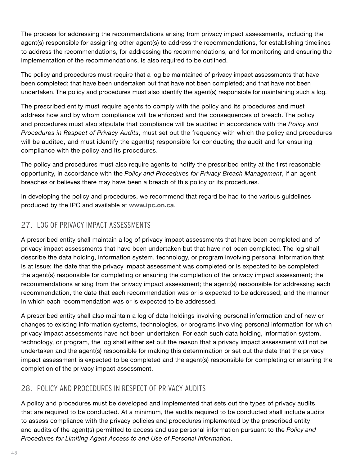<span id="page-49-0"></span>The process for addressing the recommendations arising from privacy impact assessments, including the agent(s) responsible for assigning other agent(s) to address the recommendations, for establishing timelines to address the recommendations, for addressing the recommendations, and for monitoring and ensuring the implementation of the recommendations, is also required to be outlined.

The policy and procedures must require that a log be maintained of privacy impact assessments that have been completed; that have been undertaken but that have not been completed; and that have not been undertaken. The policy and procedures must also identify the agent(s) responsible for maintaining such a log.

The prescribed entity must require agents to comply with the policy and its procedures and must address how and by whom compliance will be enforced and the consequences of breach. The policy and procedures must also stipulate that compliance will be audited in accordance with the *Policy and Procedures in Respect of Privacy Audits*, must set out the frequency with which the policy and procedures will be audited, and must identify the agent(s) responsible for conducting the audit and for ensuring compliance with the policy and its procedures.

The policy and procedures must also require agents to notify the prescribed entity at the first reasonable opportunity, in accordance with the *Policy and Procedures for Privacy Breach Management*, if an agent breaches or believes there may have been a breach of this policy or its procedures.

In developing the policy and procedures, we recommend that regard be had to the various guidelines produced by the IPC and available at **[www.ipc.on.ca](http://www.ipc.on.ca)**.

### 27. LOG OF PRIVACY IMPACT ASSESSMENTS

A prescribed entity shall maintain a log of privacy impact assessments that have been completed and of privacy impact assessments that have been undertaken but that have not been completed. The log shall describe the data holding, information system, technology, or program involving personal information that is at issue; the date that the privacy impact assessment was completed or is expected to be completed; the agent(s) responsible for completing or ensuring the completion of the privacy impact assessment; the recommendations arising from the privacy impact assessment; the agent(s) responsible for addressing each recommendation, the date that each recommendation was or is expected to be addressed; and the manner in which each recommendation was or is expected to be addressed.

A prescribed entity shall also maintain a log of data holdings involving personal information and of new or changes to existing information systems, technologies, or programs involving personal information for which privacy impact assessments have not been undertaken. For each such data holding, information system, technology, or program, the log shall either set out the reason that a privacy impact assessment will not be undertaken and the agent(s) responsible for making this determination or set out the date that the privacy impact assessment is expected to be completed and the agent(s) responsible for completing or ensuring the completion of the privacy impact assessment.

## 28. POLICY AND PROCEDURES IN RESPECT OF PRIVACY AUDITS

A policy and procedures must be developed and implemented that sets out the types of privacy audits that are required to be conducted. At a minimum, the audits required to be conducted shall include audits to assess compliance with the privacy policies and procedures implemented by the prescribed entity and audits of the agent(s) permitted to access and use personal information pursuant to the *Policy and Procedures for Limiting Agent Access to and Use of Personal Information*.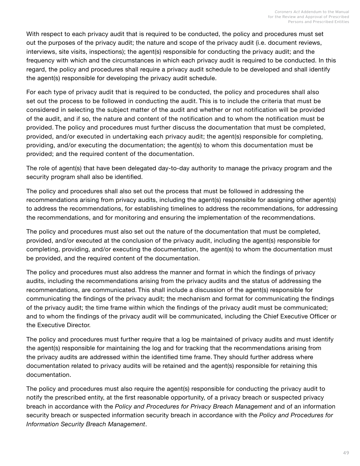With respect to each privacy audit that is required to be conducted, the policy and procedures must set out the purposes of the privacy audit; the nature and scope of the privacy audit (i.e. document reviews, interviews, site visits, inspections); the agent(s) responsible for conducting the privacy audit; and the frequency with which and the circumstances in which each privacy audit is required to be conducted. In this regard, the policy and procedures shall require a privacy audit schedule to be developed and shall identify the agent(s) responsible for developing the privacy audit schedule.

For each type of privacy audit that is required to be conducted, the policy and procedures shall also set out the process to be followed in conducting the audit. This is to include the criteria that must be considered in selecting the subject matter of the audit and whether or not notification will be provided of the audit, and if so, the nature and content of the notification and to whom the notification must be provided. The policy and procedures must further discuss the documentation that must be completed, provided, and/or executed in undertaking each privacy audit; the agent(s) responsible for completing, providing, and/or executing the documentation; the agent(s) to whom this documentation must be provided; and the required content of the documentation.

The role of agent(s) that have been delegated day-to-day authority to manage the privacy program and the security program shall also be identified.

The policy and procedures shall also set out the process that must be followed in addressing the recommendations arising from privacy audits, including the agent(s) responsible for assigning other agent(s) to address the recommendations, for establishing timelines to address the recommendations, for addressing the recommendations, and for monitoring and ensuring the implementation of the recommendations.

The policy and procedures must also set out the nature of the documentation that must be completed, provided, and/or executed at the conclusion of the privacy audit, including the agent(s) responsible for completing, providing, and/or executing the documentation, the agent(s) to whom the documentation must be provided, and the required content of the documentation.

The policy and procedures must also address the manner and format in which the findings of privacy audits, including the recommendations arising from the privacy audits and the status of addressing the recommendations, are communicated. This shall include a discussion of the agent(s) responsible for communicating the findings of the privacy audit; the mechanism and format for communicating the findings of the privacy audit; the time frame within which the findings of the privacy audit must be communicated; and to whom the findings of the privacy audit will be communicated, including the Chief Executive Officer or the Executive Director.

The policy and procedures must further require that a log be maintained of privacy audits and must identify the agent(s) responsible for maintaining the log and for tracking that the recommendations arising from the privacy audits are addressed within the identified time frame. They should further address where documentation related to privacy audits will be retained and the agent(s) responsible for retaining this documentation.

The policy and procedures must also require the agent(s) responsible for conducting the privacy audit to notify the prescribed entity, at the first reasonable opportunity, of a privacy breach or suspected privacy breach in accordance with the *Policy and Procedures for Privacy Breach Management* and of an information security breach or suspected information security breach in accordance with the *Policy and Procedures for Information Security Breach Management*.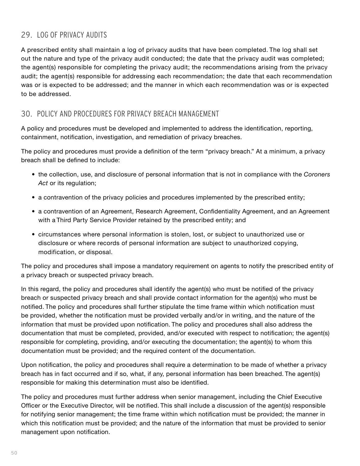## <span id="page-51-0"></span>29. LOG OF PRIVACY AUDITS

A prescribed entity shall maintain a log of privacy audits that have been completed. The log shall set out the nature and type of the privacy audit conducted; the date that the privacy audit was completed; the agent(s) responsible for completing the privacy audit; the recommendations arising from the privacy audit; the agent(s) responsible for addressing each recommendation; the date that each recommendation was or is expected to be addressed; and the manner in which each recommendation was or is expected to be addressed.

## 30. POLICY AND PROCEDURES FOR PRIVACY BREACH MANAGEMENT

A policy and procedures must be developed and implemented to address the identification, reporting, containment, notification, investigation, and remediation of privacy breaches.

The policy and procedures must provide a definition of the term "privacy breach." At a minimum, a privacy breach shall be defined to include:

- the collection, use, and disclosure of personal information that is not in compliance with the *Coroners Act* or its regulation;
- a contravention of the privacy policies and procedures implemented by the prescribed entity;
- a contravention of an Agreement, Research Agreement, Confidentiality Agreement, and an Agreement with a Third Party Service Provider retained by the prescribed entity; and
- circumstances where personal information is stolen, lost, or subject to unauthorized use or disclosure or where records of personal information are subject to unauthorized copying, modification, or disposal.

The policy and procedures shall impose a mandatory requirement on agents to notify the prescribed entity of a privacy breach or suspected privacy breach.

In this regard, the policy and procedures shall identify the agent(s) who must be notified of the privacy breach or suspected privacy breach and shall provide contact information for the agent(s) who must be notified. The policy and procedures shall further stipulate the time frame within which notification must be provided, whether the notification must be provided verbally and/or in writing, and the nature of the information that must be provided upon notification. The policy and procedures shall also address the documentation that must be completed, provided, and/or executed with respect to notification; the agent(s) responsible for completing, providing, and/or executing the documentation; the agent(s) to whom this documentation must be provided; and the required content of the documentation.

Upon notification, the policy and procedures shall require a determination to be made of whether a privacy breach has in fact occurred and if so, what, if any, personal information has been breached. The agent(s) responsible for making this determination must also be identified.

The policy and procedures must further address when senior management, including the Chief Executive Officer or the Executive Director, will be notified. This shall include a discussion of the agent(s) responsible for notifying senior management; the time frame within which notification must be provided; the manner in which this notification must be provided; and the nature of the information that must be provided to senior management upon notification.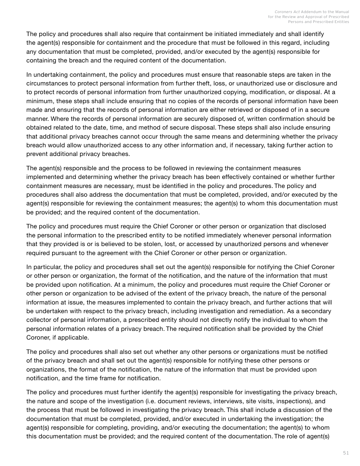The policy and procedures shall also require that containment be initiated immediately and shall identify the agent(s) responsible for containment and the procedure that must be followed in this regard, including any documentation that must be completed, provided, and/or executed by the agent(s) responsible for containing the breach and the required content of the documentation.

In undertaking containment, the policy and procedures must ensure that reasonable steps are taken in the circumstances to protect personal information from further theft, loss, or unauthorized use or disclosure and to protect records of personal information from further unauthorized copying, modification, or disposal. At a minimum, these steps shall include ensuring that no copies of the records of personal information have been made and ensuring that the records of personal information are either retrieved or disposed of in a secure manner. Where the records of personal information are securely disposed of, written confirmation should be obtained related to the date, time, and method of secure disposal. These steps shall also include ensuring that additional privacy breaches cannot occur through the same means and determining whether the privacy breach would allow unauthorized access to any other information and, if necessary, taking further action to prevent additional privacy breaches.

The agent(s) responsible and the process to be followed in reviewing the containment measures implemented and determining whether the privacy breach has been effectively contained or whether further containment measures are necessary, must be identified in the policy and procedures. The policy and procedures shall also address the documentation that must be completed, provided, and/or executed by the agent(s) responsible for reviewing the containment measures; the agent(s) to whom this documentation must be provided; and the required content of the documentation.

The policy and procedures must require the Chief Coroner or other person or organization that disclosed the personal information to the prescribed entity to be notified immediately whenever personal information that they provided is or is believed to be stolen, lost, or accessed by unauthorized persons and whenever required pursuant to the agreement with the Chief Coroner or other person or organization.

In particular, the policy and procedures shall set out the agent(s) responsible for notifying the Chief Coroner or other person or organization, the format of the notification, and the nature of the information that must be provided upon notification. At a minimum, the policy and procedures must require the Chief Coroner or other person or organization to be advised of the extent of the privacy breach, the nature of the personal information at issue, the measures implemented to contain the privacy breach, and further actions that will be undertaken with respect to the privacy breach, including investigation and remediation. As a secondary collector of personal information, a prescribed entity should not directly notify the individual to whom the personal information relates of a privacy breach. The required notification shall be provided by the Chief Coroner, if applicable.

The policy and procedures shall also set out whether any other persons or organizations must be notified of the privacy breach and shall set out the agent(s) responsible for notifying these other persons or organizations, the format of the notification, the nature of the information that must be provided upon notification, and the time frame for notification.

The policy and procedures must further identify the agent(s) responsible for investigating the privacy breach, the nature and scope of the investigation (i.e. document reviews, interviews, site visits, inspections), and the process that must be followed in investigating the privacy breach. This shall include a discussion of the documentation that must be completed, provided, and/or executed in undertaking the investigation; the agent(s) responsible for completing, providing, and/or executing the documentation; the agent(s) to whom this documentation must be provided; and the required content of the documentation. The role of agent(s)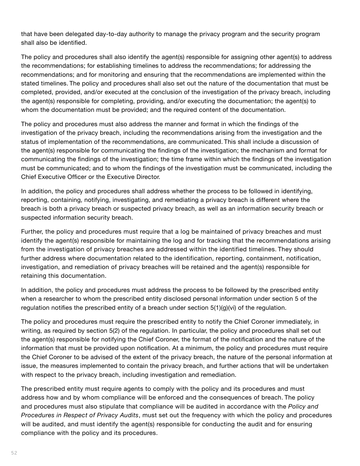that have been delegated day-to-day authority to manage the privacy program and the security program shall also be identified.

The policy and procedures shall also identify the agent(s) responsible for assigning other agent(s) to address the recommendations; for establishing timelines to address the recommendations; for addressing the recommendations; and for monitoring and ensuring that the recommendations are implemented within the stated timelines. The policy and procedures shall also set out the nature of the documentation that must be completed, provided, and/or executed at the conclusion of the investigation of the privacy breach, including the agent(s) responsible for completing, providing, and/or executing the documentation; the agent(s) to whom the documentation must be provided; and the required content of the documentation.

The policy and procedures must also address the manner and format in which the findings of the investigation of the privacy breach, including the recommendations arising from the investigation and the status of implementation of the recommendations, are communicated. This shall include a discussion of the agent(s) responsible for communicating the findings of the investigation; the mechanism and format for communicating the findings of the investigation; the time frame within which the findings of the investigation must be communicated; and to whom the findings of the investigation must be communicated, including the Chief Executive Officer or the Executive Director.

In addition, the policy and procedures shall address whether the process to be followed in identifying, reporting, containing, notifying, investigating, and remediating a privacy breach is different where the breach is both a privacy breach or suspected privacy breach, as well as an information security breach or suspected information security breach.

Further, the policy and procedures must require that a log be maintained of privacy breaches and must identify the agent(s) responsible for maintaining the log and for tracking that the recommendations arising from the investigation of privacy breaches are addressed within the identified timelines. They should further address where documentation related to the identification, reporting, containment, notification, investigation, and remediation of privacy breaches will be retained and the agent(s) responsible for retaining this documentation.

In addition, the policy and procedures must address the process to be followed by the prescribed entity when a researcher to whom the prescribed entity disclosed personal information under section 5 of the regulation notifies the prescribed entity of a breach under section  $5(1)(g)(vi)$  of the regulation.

The policy and procedures must require the prescribed entity to notify the Chief Coroner immediately, in writing, as required by section 5(2) of the regulation. In particular, the policy and procedures shall set out the agent(s) responsible for notifying the Chief Coroner, the format of the notification and the nature of the information that must be provided upon notification. At a minimum, the policy and procedures must require the Chief Coroner to be advised of the extent of the privacy breach, the nature of the personal information at issue, the measures implemented to contain the privacy breach, and further actions that will be undertaken with respect to the privacy breach, including investigation and remediation.

The prescribed entity must require agents to comply with the policy and its procedures and must address how and by whom compliance will be enforced and the consequences of breach. The policy and procedures must also stipulate that compliance will be audited in accordance with the *Policy and Procedures in Respect of Privacy Audits*, must set out the frequency with which the policy and procedures will be audited, and must identify the agent(s) responsible for conducting the audit and for ensuring compliance with the policy and its procedures.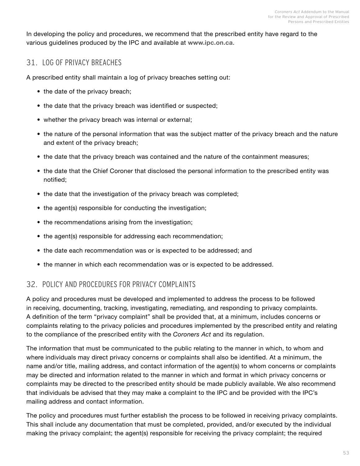<span id="page-54-0"></span>In developing the policy and procedures, we recommend that the prescribed entity have regard to the various guidelines produced by the IPC and available at **[www.ipc.on.ca](http://www.ipc.on.ca)**.

## 31. LOG OF PRIVACY BREACHES

A prescribed entity shall maintain a log of privacy breaches setting out:

- the date of the privacy breach;
- the date that the privacy breach was identified or suspected;
- whether the privacy breach was internal or external;
- the nature of the personal information that was the subject matter of the privacy breach and the nature and extent of the privacy breach;
- the date that the privacy breach was contained and the nature of the containment measures;
- the date that the Chief Coroner that disclosed the personal information to the prescribed entity was notified;
- the date that the investigation of the privacy breach was completed;
- the agent(s) responsible for conducting the investigation;
- the recommendations arising from the investigation;
- the agent(s) responsible for addressing each recommendation;
- the date each recommendation was or is expected to be addressed; and
- the manner in which each recommendation was or is expected to be addressed.

### 32. POLICY AND PROCEDURES FOR PRIVACY COMPLAINTS

A policy and procedures must be developed and implemented to address the process to be followed in receiving, documenting, tracking, investigating, remediating, and responding to privacy complaints. A definition of the term "privacy complaint" shall be provided that, at a minimum, includes concerns or complaints relating to the privacy policies and procedures implemented by the prescribed entity and relating to the compliance of the prescribed entity with the *Coroners Act* and its regulation.

The information that must be communicated to the public relating to the manner in which, to whom and where individuals may direct privacy concerns or complaints shall also be identified. At a minimum, the name and/or title, mailing address, and contact information of the agent(s) to whom concerns or complaints may be directed and information related to the manner in which and format in which privacy concerns or complaints may be directed to the prescribed entity should be made publicly available. We also recommend that individuals be advised that they may make a complaint to the IPC and be provided with the IPC's mailing address and contact information.

The policy and procedures must further establish the process to be followed in receiving privacy complaints. This shall include any documentation that must be completed, provided, and/or executed by the individual making the privacy complaint; the agent(s) responsible for receiving the privacy complaint; the required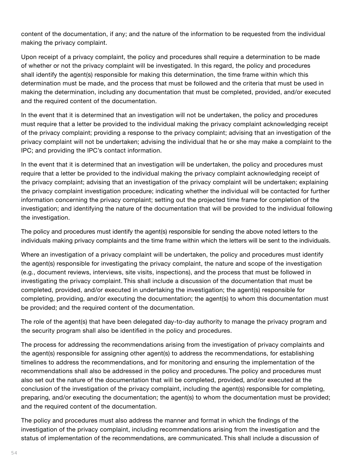content of the documentation, if any; and the nature of the information to be requested from the individual making the privacy complaint.

Upon receipt of a privacy complaint, the policy and procedures shall require a determination to be made of whether or not the privacy complaint will be investigated. In this regard, the policy and procedures shall identify the agent(s) responsible for making this determination, the time frame within which this determination must be made, and the process that must be followed and the criteria that must be used in making the determination, including any documentation that must be completed, provided, and/or executed and the required content of the documentation.

In the event that it is determined that an investigation will not be undertaken, the policy and procedures must require that a letter be provided to the individual making the privacy complaint acknowledging receipt of the privacy complaint; providing a response to the privacy complaint; advising that an investigation of the privacy complaint will not be undertaken; advising the individual that he or she may make a complaint to the IPC; and providing the IPC's contact information.

In the event that it is determined that an investigation will be undertaken, the policy and procedures must require that a letter be provided to the individual making the privacy complaint acknowledging receipt of the privacy complaint; advising that an investigation of the privacy complaint will be undertaken; explaining the privacy complaint investigation procedure; indicating whether the individual will be contacted for further information concerning the privacy complaint; setting out the projected time frame for completion of the investigation; and identifying the nature of the documentation that will be provided to the individual following the investigation.

The policy and procedures must identify the agent(s) responsible for sending the above noted letters to the individuals making privacy complaints and the time frame within which the letters will be sent to the individuals.

Where an investigation of a privacy complaint will be undertaken, the policy and procedures must identify the agent(s) responsible for investigating the privacy complaint, the nature and scope of the investigation (e.g., document reviews, interviews, site visits, inspections), and the process that must be followed in investigating the privacy complaint. This shall include a discussion of the documentation that must be completed, provided, and/or executed in undertaking the investigation; the agent(s) responsible for completing, providing, and/or executing the documentation; the agent(s) to whom this documentation must be provided; and the required content of the documentation.

The role of the agent(s) that have been delegated day-to-day authority to manage the privacy program and the security program shall also be identified in the policy and procedures.

The process for addressing the recommendations arising from the investigation of privacy complaints and the agent(s) responsible for assigning other agent(s) to address the recommendations, for establishing timelines to address the recommendations, and for monitoring and ensuring the implementation of the recommendations shall also be addressed in the policy and procedures. The policy and procedures must also set out the nature of the documentation that will be completed, provided, and/or executed at the conclusion of the investigation of the privacy complaint, including the agent(s) responsible for completing, preparing, and/or executing the documentation; the agent(s) to whom the documentation must be provided; and the required content of the documentation.

The policy and procedures must also address the manner and format in which the findings of the investigation of the privacy complaint, including recommendations arising from the investigation and the status of implementation of the recommendations, are communicated. This shall include a discussion of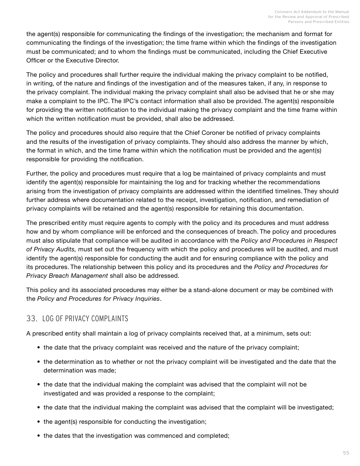<span id="page-56-0"></span>the agent(s) responsible for communicating the findings of the investigation; the mechanism and format for communicating the findings of the investigation; the time frame within which the findings of the investigation must be communicated; and to whom the findings must be communicated, including the Chief Executive Officer or the Executive Director.

The policy and procedures shall further require the individual making the privacy complaint to be notified, in writing, of the nature and findings of the investigation and of the measures taken, if any, in response to the privacy complaint. The individual making the privacy complaint shall also be advised that he or she may make a complaint to the IPC. The IPC's contact information shall also be provided. The agent(s) responsible for providing the written notification to the individual making the privacy complaint and the time frame within which the written notification must be provided, shall also be addressed.

The policy and procedures should also require that the Chief Coroner be notified of privacy complaints and the results of the investigation of privacy complaints. They should also address the manner by which, the format in which, and the time frame within which the notification must be provided and the agent(s) responsible for providing the notification.

Further, the policy and procedures must require that a log be maintained of privacy complaints and must identify the agent(s) responsible for maintaining the log and for tracking whether the recommendations arising from the investigation of privacy complaints are addressed within the identified timelines. They should further address where documentation related to the receipt, investigation, notification, and remediation of privacy complaints will be retained and the agent(s) responsible for retaining this documentation.

The prescribed entity must require agents to comply with the policy and its procedures and must address how and by whom compliance will be enforced and the consequences of breach. The policy and procedures must also stipulate that compliance will be audited in accordance with the *Policy and Procedures in Respect of Privacy Audits,* must set out the frequency with which the policy and procedures will be audited, and must identify the agent(s) responsible for conducting the audit and for ensuring compliance with the policy and its procedures. The relationship between this policy and its procedures and the *Policy and Procedures for Privacy Breach Management* shall also be addressed.

This policy and its associated procedures may either be a stand-alone document or may be combined with the *Policy and Procedures for Privacy Inquiries*.

## 33. LOG OF PRIVACY COMPLAINTS

A prescribed entity shall maintain a log of privacy complaints received that, at a minimum, sets out:

- the date that the privacy complaint was received and the nature of the privacy complaint;
- the determination as to whether or not the privacy complaint will be investigated and the date that the determination was made;
- the date that the individual making the complaint was advised that the complaint will not be investigated and was provided a response to the complaint;
- the date that the individual making the complaint was advised that the complaint will be investigated;
- the agent(s) responsible for conducting the investigation;
- the dates that the investigation was commenced and completed;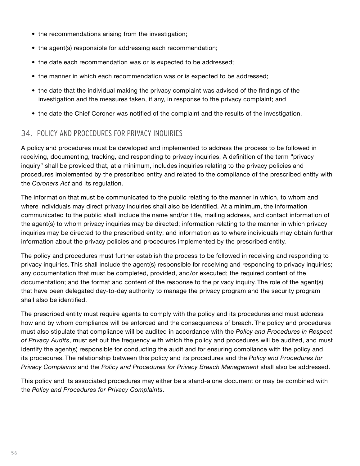- <span id="page-57-0"></span>• the recommendations arising from the investigation;
- the agent(s) responsible for addressing each recommendation;
- the date each recommendation was or is expected to be addressed;
- the manner in which each recommendation was or is expected to be addressed;
- the date that the individual making the privacy complaint was advised of the findings of the investigation and the measures taken, if any, in response to the privacy complaint; and
- the date the Chief Coroner was notified of the complaint and the results of the investigation.

### 34. POLICY AND PROCEDURES FOR PRIVACY INQUIRIES

A policy and procedures must be developed and implemented to address the process to be followed in receiving, documenting, tracking, and responding to privacy inquiries. A definition of the term "privacy inquiry" shall be provided that, at a minimum, includes inquiries relating to the privacy policies and procedures implemented by the prescribed entity and related to the compliance of the prescribed entity with the *Coroners Act* and its regulation.

The information that must be communicated to the public relating to the manner in which, to whom and where individuals may direct privacy inquiries shall also be identified. At a minimum, the information communicated to the public shall include the name and/or title, mailing address, and contact information of the agent(s) to whom privacy inquiries may be directed; information relating to the manner in which privacy inquiries may be directed to the prescribed entity; and information as to where individuals may obtain further information about the privacy policies and procedures implemented by the prescribed entity.

The policy and procedures must further establish the process to be followed in receiving and responding to privacy inquiries. This shall include the agent(s) responsible for receiving and responding to privacy inquiries; any documentation that must be completed, provided, and/or executed; the required content of the documentation; and the format and content of the response to the privacy inquiry. The role of the agent(s) that have been delegated day-to-day authority to manage the privacy program and the security program shall also be identified.

The prescribed entity must require agents to comply with the policy and its procedures and must address how and by whom compliance will be enforced and the consequences of breach. The policy and procedures must also stipulate that compliance will be audited in accordance with the *Policy and Procedures in Respect of Privacy Audits*, must set out the frequency with which the policy and procedures will be audited, and must identify the agent(s) responsible for conducting the audit and for ensuring compliance with the policy and its procedures. The relationship between this policy and its procedures and the *Policy and Procedures for Privacy Complaints* and the *Policy and Procedures for Privacy Breach Management* shall also be addressed.

This policy and its associated procedures may either be a stand-alone document or may be combined with the *Policy and Procedures for Privacy Complaints*.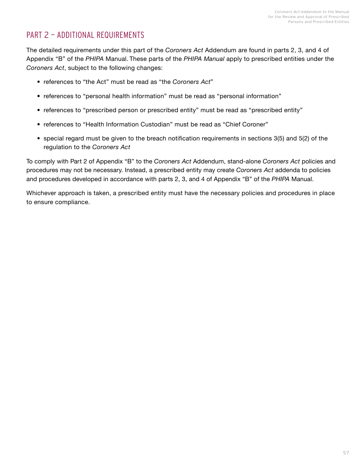## <span id="page-58-0"></span>PART 2 — ADDITIONAL REQUIREMENTS

The detailed requirements under this part of the *Coroners Act* Addendum are found in parts 2, 3, and 4 of Appendix "B" of the *PHIPA* Manual. These parts of the *PHIPA Manual* apply to prescribed entities under the *Coroners Act*, subject to the following changes:

- references to "the Act" must be read as "the *Coroners Act*"
- references to "personal health information" must be read as "personal information"
- references to "prescribed person or prescribed entity" must be read as "prescribed entity"
- references to "Health Information Custodian" must be read as "Chief Coroner"
- special regard must be given to the breach notification requirements in sections 3(5) and 5(2) of the regulation to the *Coroners Act*

To comply with Part 2 of Appendix "B" to the *Coroners Act* Addendum, stand-alone *Coroners Act* policies and procedures may not be necessary. Instead, a prescribed entity may create *Coroners Act* addenda to policies and procedures developed in accordance with parts 2, 3, and 4 of Appendix "B" of the *PHIPA* Manual.

Whichever approach is taken, a prescribed entity must have the necessary policies and procedures in place to ensure compliance.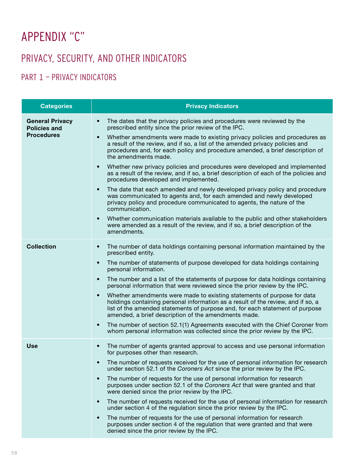# <span id="page-59-0"></span>APPENDIX "C"

## PRIVACY, SECURITY, AND OTHER INDICATORS

## PART 1 — PRIVACY INDICATORS

| <b>Categories</b>                                                  | <b>Privacy Indicators</b>                                                                                                                                                                                                                                                                                        |
|--------------------------------------------------------------------|------------------------------------------------------------------------------------------------------------------------------------------------------------------------------------------------------------------------------------------------------------------------------------------------------------------|
| <b>General Privacy</b><br><b>Policies and</b><br><b>Procedures</b> | The dates that the privacy policies and procedures were reviewed by the<br>$\bullet$<br>prescribed entity since the prior review of the IPC.                                                                                                                                                                     |
|                                                                    | Whether amendments were made to existing privacy policies and procedures as<br>$\bullet$<br>a result of the review, and if so, a list of the amended privacy policies and<br>procedures and, for each policy and procedure amended, a brief description of<br>the amendments made.                               |
|                                                                    | Whether new privacy policies and procedures were developed and implemented<br>$\bullet$<br>as a result of the review, and if so, a brief description of each of the policies and<br>procedures developed and implemented.                                                                                        |
|                                                                    | The date that each amended and newly developed privacy policy and procedure<br>$\bullet$<br>was communicated to agents and, for each amended and newly developed<br>privacy policy and procedure communicated to agents, the nature of the<br>communication.                                                     |
|                                                                    | Whether communication materials available to the public and other stakeholders<br>$\bullet$<br>were amended as a result of the review, and if so, a brief description of the<br>amendments.                                                                                                                      |
| <b>Collection</b>                                                  | The number of data holdings containing personal information maintained by the<br>$\bullet$<br>prescribed entity.                                                                                                                                                                                                 |
|                                                                    | The number of statements of purpose developed for data holdings containing<br>$\bullet$<br>personal information.                                                                                                                                                                                                 |
|                                                                    | The number and a list of the statements of purpose for data holdings containing<br>$\bullet$<br>personal information that were reviewed since the prior review by the IPC.                                                                                                                                       |
|                                                                    | Whether amendments were made to existing statements of purpose for data<br>$\bullet$<br>holdings containing personal information as a result of the review, and if so, a<br>list of the amended statements of purpose and, for each statement of purpose<br>amended, a brief description of the amendments made. |
|                                                                    | The number of section 52.1(1) Agreements executed with the Chief Coroner from<br>$\bullet$<br>whom personal information was collected since the prior review by the IPC.                                                                                                                                         |
| <b>Use</b>                                                         | The number of agents granted approval to access and use personal information<br>$\bullet$<br>for purposes other than research.                                                                                                                                                                                   |
|                                                                    | The number of requests received for the use of personal information for research<br>under section 52.1 of the Coroners Act since the prior review by the IPC.                                                                                                                                                    |
|                                                                    | The number of requests for the use of personal information for research<br>$\bullet$<br>purposes under section 52.1 of the Coroners Act that were granted and that<br>were denied since the prior review by the IPC.                                                                                             |
|                                                                    | The number of requests received for the use of personal information for research<br>$\bullet$<br>under section 4 of the regulation since the prior review by the IPC.                                                                                                                                            |
|                                                                    | The number of requests for the use of personal information for research<br>$\bullet$<br>purposes under section 4 of the regulation that were granted and that were<br>denied since the prior review by the IPC.                                                                                                  |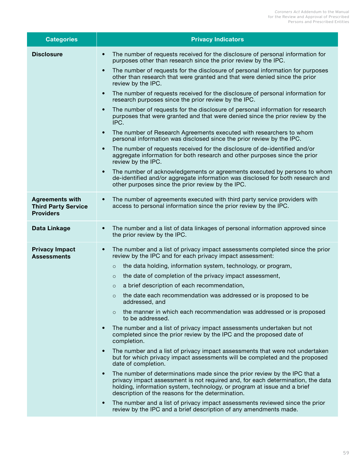| <b>Categories</b>                                                        | <b>Privacy Indicators</b>                                                                                                                                                                                                                                                                                   |
|--------------------------------------------------------------------------|-------------------------------------------------------------------------------------------------------------------------------------------------------------------------------------------------------------------------------------------------------------------------------------------------------------|
| <b>Disclosure</b>                                                        | The number of requests received for the disclosure of personal information for<br>$\bullet$<br>purposes other than research since the prior review by the IPC.                                                                                                                                              |
|                                                                          | The number of requests for the disclosure of personal information for purposes<br>$\bullet$<br>other than research that were granted and that were denied since the prior<br>review by the IPC.                                                                                                             |
|                                                                          | The number of requests received for the disclosure of personal information for<br>$\bullet$<br>research purposes since the prior review by the IPC.                                                                                                                                                         |
|                                                                          | The number of requests for the disclosure of personal information for research<br>$\bullet$<br>purposes that were granted and that were denied since the prior review by the<br>IPC.                                                                                                                        |
|                                                                          | The number of Research Agreements executed with researchers to whom<br>$\bullet$<br>personal information was disclosed since the prior review by the IPC.                                                                                                                                                   |
|                                                                          | The number of requests received for the disclosure of de-identified and/or<br>$\bullet$<br>aggregate information for both research and other purposes since the prior<br>review by the IPC.                                                                                                                 |
|                                                                          | The number of acknowledgements or agreements executed by persons to whom<br>$\bullet$<br>de-identified and/or aggregate information was disclosed for both research and<br>other purposes since the prior review by the IPC.                                                                                |
| <b>Agreements with</b><br><b>Third Party Service</b><br><b>Providers</b> | The number of agreements executed with third party service providers with<br>$\bullet$<br>access to personal information since the prior review by the IPC.                                                                                                                                                 |
| Data Linkage                                                             | The number and a list of data linkages of personal information approved since<br>$\bullet$<br>the prior review by the IPC.                                                                                                                                                                                  |
| <b>Privacy Impact</b><br><b>Assessments</b>                              | The number and a list of privacy impact assessments completed since the prior<br>$\bullet$<br>review by the IPC and for each privacy impact assessment:                                                                                                                                                     |
|                                                                          | the data holding, information system, technology, or program,<br>$\circ$                                                                                                                                                                                                                                    |
|                                                                          | the date of completion of the privacy impact assessment,<br>$\circ$                                                                                                                                                                                                                                         |
|                                                                          | a brief description of each recommendation,<br>$\circ$                                                                                                                                                                                                                                                      |
|                                                                          | o the date each recommendation was addressed or is proposed to be<br>addressed, and                                                                                                                                                                                                                         |
|                                                                          | the manner in which each recommendation was addressed or is proposed<br>$\circ$<br>to be addressed.                                                                                                                                                                                                         |
|                                                                          | The number and a list of privacy impact assessments undertaken but not<br>$\bullet$<br>completed since the prior review by the IPC and the proposed date of<br>completion.                                                                                                                                  |
|                                                                          | The number and a list of privacy impact assessments that were not undertaken<br>$\bullet$<br>but for which privacy impact assessments will be completed and the proposed<br>date of completion.                                                                                                             |
|                                                                          | The number of determinations made since the prior review by the IPC that a<br>$\bullet$<br>privacy impact assessment is not required and, for each determination, the data<br>holding, information system, technology, or program at issue and a brief<br>description of the reasons for the determination. |
|                                                                          | The number and a list of privacy impact assessments reviewed since the prior<br>$\bullet$<br>review by the IPC and a brief description of any amendments made.                                                                                                                                              |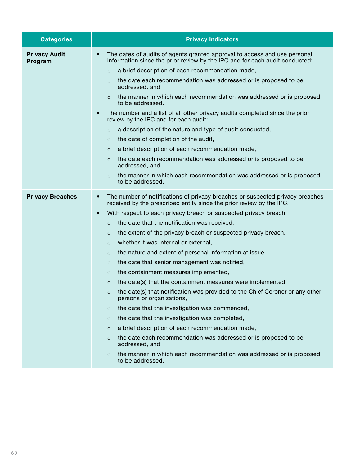| <b>Categories</b>               | <b>Privacy Indicators</b>                                                                                                                                                                                                                                                                                                                                                                                                                                                                                                                                                                                                                                                                                                                                                                                                                                                                                                                                                                                                                                                                                                                                                                                                             |
|---------------------------------|---------------------------------------------------------------------------------------------------------------------------------------------------------------------------------------------------------------------------------------------------------------------------------------------------------------------------------------------------------------------------------------------------------------------------------------------------------------------------------------------------------------------------------------------------------------------------------------------------------------------------------------------------------------------------------------------------------------------------------------------------------------------------------------------------------------------------------------------------------------------------------------------------------------------------------------------------------------------------------------------------------------------------------------------------------------------------------------------------------------------------------------------------------------------------------------------------------------------------------------|
| <b>Privacy Audit</b><br>Program | The dates of audits of agents granted approval to access and use personal<br>$\bullet$<br>information since the prior review by the IPC and for each audit conducted:<br>a brief description of each recommendation made,<br>$\circ$<br>the date each recommendation was addressed or is proposed to be<br>$\circ$<br>addressed, and<br>the manner in which each recommendation was addressed or is proposed<br>$\Omega$<br>to be addressed.<br>The number and a list of all other privacy audits completed since the prior<br>$\bullet$<br>review by the IPC and for each audit:<br>a description of the nature and type of audit conducted,<br>$\circ$<br>the date of completion of the audit,<br>$\circ$<br>a brief description of each recommendation made,<br>$\circ$<br>the date each recommendation was addressed or is proposed to be<br>$\circ$<br>addressed, and<br>the manner in which each recommendation was addressed or is proposed<br>$\circ$<br>to be addressed.                                                                                                                                                                                                                                                     |
| <b>Privacy Breaches</b>         | The number of notifications of privacy breaches or suspected privacy breaches<br>$\bullet$<br>received by the prescribed entity since the prior review by the IPC.<br>With respect to each privacy breach or suspected privacy breach:<br>$\bullet$<br>the date that the notification was received,<br>$\circ$<br>the extent of the privacy breach or suspected privacy breach,<br>$\circ$<br>whether it was internal or external,<br>$\circ$<br>the nature and extent of personal information at issue,<br>$\circ$<br>the date that senior management was notified,<br>$\circ$<br>the containment measures implemented,<br>$\circ$<br>the date(s) that the containment measures were implemented,<br>$\circ$<br>the date(s) that notification was provided to the Chief Coroner or any other<br>$\circ$<br>persons or organizations,<br>the date that the investigation was commenced,<br>$\circ$<br>the date that the investigation was completed,<br>$\circ$<br>a brief description of each recommendation made,<br>$\circ$<br>the date each recommendation was addressed or is proposed to be<br>$\circ$<br>addressed, and<br>the manner in which each recommendation was addressed or is proposed<br>$\circ$<br>to be addressed. |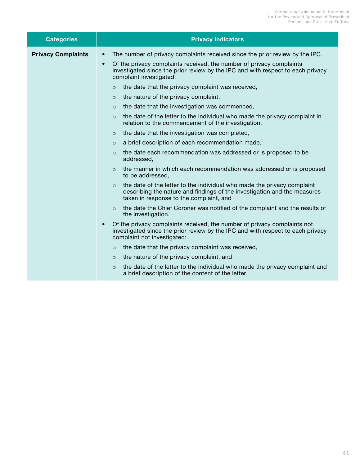<span id="page-62-0"></span>

| <b>Categories</b>         | <b>Privacy Indicators</b>                                                                                                                                                                                                                                                                                                                                                                                                                                                                                                                                                                                                                                                                                                                                                                                                                                                                                                                                                                                                                                                                                                                                                                                                                                                                                                                                                                                                                                                                           |
|---------------------------|-----------------------------------------------------------------------------------------------------------------------------------------------------------------------------------------------------------------------------------------------------------------------------------------------------------------------------------------------------------------------------------------------------------------------------------------------------------------------------------------------------------------------------------------------------------------------------------------------------------------------------------------------------------------------------------------------------------------------------------------------------------------------------------------------------------------------------------------------------------------------------------------------------------------------------------------------------------------------------------------------------------------------------------------------------------------------------------------------------------------------------------------------------------------------------------------------------------------------------------------------------------------------------------------------------------------------------------------------------------------------------------------------------------------------------------------------------------------------------------------------------|
| <b>Privacy Complaints</b> | The number of privacy complaints received since the prior review by the IPC.<br>$\bullet$<br>Of the privacy complaints received, the number of privacy complaints<br>$\bullet$<br>investigated since the prior review by the IPC and with respect to each privacy<br>complaint investigated:<br>the date that the privacy complaint was received,<br>$\circ$<br>the nature of the privacy complaint,<br>$\circ$<br>the date that the investigation was commenced,<br>$\circ$<br>the date of the letter to the individual who made the privacy complaint in<br>$\circ$<br>relation to the commencement of the investigation,<br>the date that the investigation was completed,<br>$\circ$<br>a brief description of each recommendation made,<br>$\circ$<br>the date each recommendation was addressed or is proposed to be<br>$\circ$<br>addressed,<br>the manner in which each recommendation was addressed or is proposed<br>$\Omega$<br>to be addressed,<br>the date of the letter to the individual who made the privacy complaint<br>$\circ$<br>describing the nature and findings of the investigation and the measures<br>taken in response to the complaint, and<br>the date the Chief Coroner was notified of the complaint and the results of<br>$\circ$<br>the investigation.<br>Of the privacy complaints received, the number of privacy complaints not<br>$\bullet$<br>investigated since the prior review by the IPC and with respect to each privacy<br>complaint not investigated: |
|                           | the date that the privacy complaint was received,<br>$\circ$<br>the nature of the privacy complaint, and<br>$\circ$<br>the date of the letter to the individual who made the privacy complaint and<br>$\circ$<br>a brief description of the content of the letter.                                                                                                                                                                                                                                                                                                                                                                                                                                                                                                                                                                                                                                                                                                                                                                                                                                                                                                                                                                                                                                                                                                                                                                                                                                  |
|                           |                                                                                                                                                                                                                                                                                                                                                                                                                                                                                                                                                                                                                                                                                                                                                                                                                                                                                                                                                                                                                                                                                                                                                                                                                                                                                                                                                                                                                                                                                                     |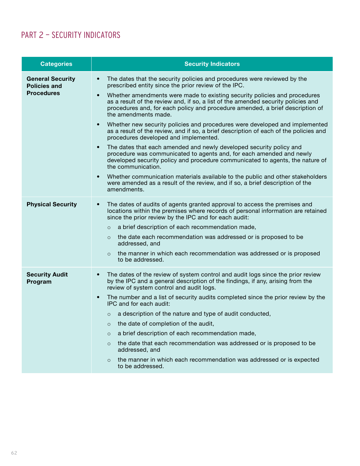## PART 2 — SECURITY INDICATORS

| <b>Categories</b>                                                   | <b>Security Indicators</b>                                                                                                                                                                                                                                                           |
|---------------------------------------------------------------------|--------------------------------------------------------------------------------------------------------------------------------------------------------------------------------------------------------------------------------------------------------------------------------------|
| <b>General Security</b><br><b>Policies and</b><br><b>Procedures</b> | The dates that the security policies and procedures were reviewed by the<br>$\bullet$<br>prescribed entity since the prior review of the IPC.                                                                                                                                        |
|                                                                     | Whether amendments were made to existing security policies and procedures<br>$\bullet$<br>as a result of the review and, if so, a list of the amended security policies and<br>procedures and, for each policy and procedure amended, a brief description of<br>the amendments made. |
|                                                                     | Whether new security policies and procedures were developed and implemented<br>$\bullet$<br>as a result of the review, and if so, a brief description of each of the policies and<br>procedures developed and implemented.                                                           |
|                                                                     | The dates that each amended and newly developed security policy and<br>$\bullet$<br>procedure was communicated to agents and, for each amended and newly<br>developed security policy and procedure communicated to agents, the nature of<br>the communication.                      |
|                                                                     | Whether communication materials available to the public and other stakeholders<br>$\bullet$<br>were amended as a result of the review, and if so, a brief description of the<br>amendments.                                                                                          |
| <b>Physical Security</b>                                            | The dates of audits of agents granted approval to access the premises and<br>$\bullet$<br>locations within the premises where records of personal information are retained<br>since the prior review by the IPC and for each audit:                                                  |
|                                                                     | a brief description of each recommendation made,<br>$\circ$                                                                                                                                                                                                                          |
|                                                                     | the date each recommendation was addressed or is proposed to be<br>$\circ$<br>addressed, and                                                                                                                                                                                         |
|                                                                     | the manner in which each recommendation was addressed or is proposed<br>$\Omega$<br>to be addressed.                                                                                                                                                                                 |
| <b>Security Audit</b><br>Program                                    | The dates of the review of system control and audit logs since the prior review<br>$\bullet$<br>by the IPC and a general description of the findings, if any, arising from the<br>review of system control and audit logs.                                                           |
|                                                                     | The number and a list of security audits completed since the prior review by the<br>$\bullet$<br>IPC and for each audit:                                                                                                                                                             |
|                                                                     | a description of the nature and type of audit conducted,<br>$\circ$                                                                                                                                                                                                                  |
|                                                                     | the date of completion of the audit,<br>$\circ$                                                                                                                                                                                                                                      |
|                                                                     | a brief description of each recommendation made,<br>$\circ$                                                                                                                                                                                                                          |
|                                                                     | the date that each recommendation was addressed or is proposed to be<br>$\circ$<br>addressed, and                                                                                                                                                                                    |
|                                                                     | the manner in which each recommendation was addressed or is expected<br>$\circ$<br>to be addressed.                                                                                                                                                                                  |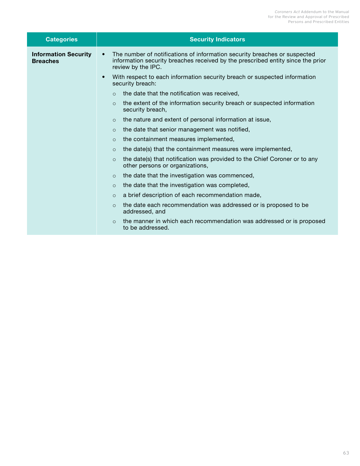<span id="page-64-0"></span>

| <b>Categories</b>                              | <b>Security Indicators</b>                                                                                                                                                                                                                                                                                                                                                                                                                                                                                                                                                                                                                                                                                                               |
|------------------------------------------------|------------------------------------------------------------------------------------------------------------------------------------------------------------------------------------------------------------------------------------------------------------------------------------------------------------------------------------------------------------------------------------------------------------------------------------------------------------------------------------------------------------------------------------------------------------------------------------------------------------------------------------------------------------------------------------------------------------------------------------------|
| <b>Information Security</b><br><b>Breaches</b> | The number of notifications of information security breaches or suspected<br>$\bullet$<br>information security breaches received by the prescribed entity since the prior<br>review by the IPC.<br>With respect to each information security breach or suspected information<br>$\bullet$<br>security breach:<br>the date that the notification was received,<br>$\Omega$<br>the extent of the information security breach or suspected information<br>$\Omega$<br>security breach,<br>the nature and extent of personal information at issue,<br>$\circ$<br>the date that senior management was notified,<br>$\circ$<br>the containment measures implemented,<br>$\circ$<br>the date(s) that the containment measures were implemented, |
|                                                | $\circ$<br>the date(s) that notification was provided to the Chief Coroner or to any<br>$\Omega$<br>other persons or organizations,<br>the date that the investigation was commenced,<br>$\circ$<br>the date that the investigation was completed,<br>$\circ$<br>a brief description of each recommendation made,<br>$\circ$<br>the date each recommendation was addressed or is proposed to be<br>$\Omega$<br>addressed, and<br>the manner in which each recommendation was addressed or is proposed<br>$\Omega$<br>to be addressed.                                                                                                                                                                                                    |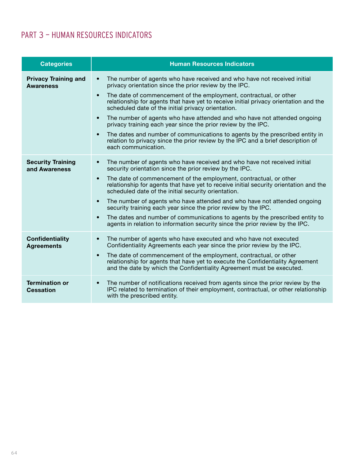## <span id="page-65-0"></span>PART 3 — HUMAN RESOURCES INDICATORS

| <b>Categories</b>                               | <b>Human Resources Indicators</b>                                                                                                                                                                                                         |
|-------------------------------------------------|-------------------------------------------------------------------------------------------------------------------------------------------------------------------------------------------------------------------------------------------|
| <b>Privacy Training and</b><br><b>Awareness</b> | The number of agents who have received and who have not received initial<br>$\bullet$<br>privacy orientation since the prior review by the IPC.                                                                                           |
|                                                 | The date of commencement of the employment, contractual, or other<br>$\bullet$<br>relationship for agents that have yet to receive initial privacy orientation and the<br>scheduled date of the initial privacy orientation.              |
|                                                 | The number of agents who have attended and who have not attended ongoing<br>$\bullet$<br>privacy training each year since the prior review by the IPC.                                                                                    |
|                                                 | The dates and number of communications to agents by the prescribed entity in<br>$\bullet$<br>relation to privacy since the prior review by the IPC and a brief description of<br>each communication.                                      |
| <b>Security Training</b><br>and Awareness       | The number of agents who have received and who have not received initial<br>$\bullet$<br>security orientation since the prior review by the IPC.                                                                                          |
|                                                 | The date of commencement of the employment, contractual, or other<br>$\bullet$<br>relationship for agents that have yet to receive initial security orientation and the<br>scheduled date of the initial security orientation.            |
|                                                 | The number of agents who have attended and who have not attended ongoing<br>$\bullet$<br>security training each year since the prior review by the IPC.                                                                                   |
|                                                 | The dates and number of communications to agents by the prescribed entity to<br>$\bullet$<br>agents in relation to information security since the prior review by the IPC.                                                                |
| <b>Confidentiality</b><br><b>Agreements</b>     | The number of agents who have executed and who have not executed<br>$\bullet$<br>Confidentiality Agreements each year since the prior review by the IPC.                                                                                  |
|                                                 | The date of commencement of the employment, contractual, or other<br>$\bullet$<br>relationship for agents that have yet to execute the Confidentiality Agreement<br>and the date by which the Confidentiality Agreement must be executed. |
| <b>Termination or</b><br><b>Cessation</b>       | The number of notifications received from agents since the prior review by the<br>$\bullet$<br>IPC related to termination of their employment, contractual, or other relationship<br>with the prescribed entity.                          |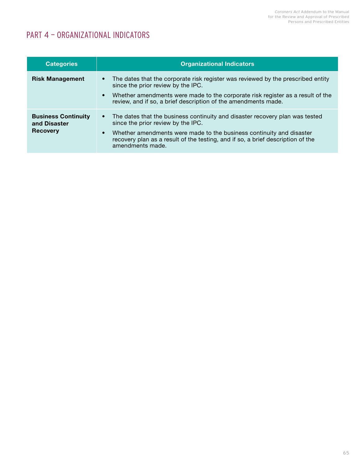## PART 4 — ORGANIZATIONAL INDICATORS

| <b>Categories</b>                                             | <b>Organizational Indicators</b>                                                                                                                                                                                                                                                                                 |
|---------------------------------------------------------------|------------------------------------------------------------------------------------------------------------------------------------------------------------------------------------------------------------------------------------------------------------------------------------------------------------------|
| <b>Risk Management</b>                                        | The dates that the corporate risk register was reviewed by the prescribed entity<br>$\bullet$<br>since the prior review by the IPC.<br>Whether amendments were made to the corporate risk register as a result of the<br>$\bullet$<br>review, and if so, a brief description of the amendments made.             |
| <b>Business Continuity</b><br>and Disaster<br><b>Recovery</b> | • The dates that the business continuity and disaster recovery plan was tested<br>since the prior review by the IPC.<br>Whether amendments were made to the business continuity and disaster<br>$\bullet$<br>recovery plan as a result of the testing, and if so, a brief description of the<br>amendments made. |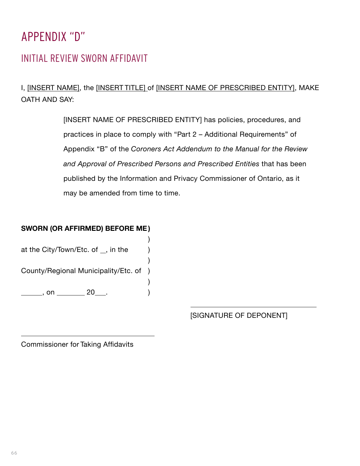# <span id="page-67-0"></span>APPENDIX "D"

## INITIAL REVIEW SWORN AFFIDAVIT

I, [INSERT NAME], the [INSERT TITLE] of [INSERT NAME OF PRESCRIBED ENTITY], MAKE OATH AND SAY:

> [INSERT NAME OF PRESCRIBED ENTITY] has policies, procedures, and practices in place to comply with "Part 2 – Additional Requirements" of Appendix "B" of the *Coroners Act Addendum to the Manual for the Review and Approval of Prescribed Persons and Prescribed Entities* that has been published by the Information and Privacy Commissioner of Ontario, as it may be amended from time to time.

### **SWORN (OR AFFIRMED) BEFORE ME)**

) at the City/Town/Etc. of  $\Box$ , in the ) County/Regional Municipality/Etc. of ) ) \_\_\_\_\_\_\_, on \_\_\_\_\_\_\_\_ 20\_\_\_. )

[SIGNATURE OF DEPONENT]

Commissioner for Taking Affidavits

 $\overline{a}$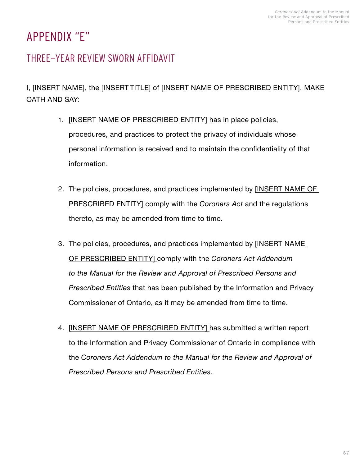# APPENDIX "E"

## THREE-YEAR REVIEW SWORN AFFIDAVIT

## I, [INSERT NAME], the [INSERT TITLE] of [INSERT NAME OF PRESCRIBED ENTITY], MAKE OATH AND SAY:

- 1. [INSERT NAME OF PRESCRIBED ENTITY] has in place policies, procedures, and practices to protect the privacy of individuals whose personal information is received and to maintain the confidentiality of that information.
- 2. The policies, procedures, and practices implemented by [INSERT NAME OF PRESCRIBED ENTITY] comply with the *Coroners Act* and the regulations thereto, as may be amended from time to time.
- 3. The policies, procedures, and practices implemented by [INSERT NAME OF PRESCRIBED ENTITY] comply with the *Coroners Act Addendum to the Manual for the Review and Approval of Prescribed Persons and Prescribed Entities* that has been published by the Information and Privacy Commissioner of Ontario, as it may be amended from time to time.
- 4. [INSERT NAME OF PRESCRIBED ENTITY] has submitted a written report to the Information and Privacy Commissioner of Ontario in compliance with the *Coroners Act Addendum to the Manual for the Review and Approval of Prescribed Persons and Prescribed Entities*.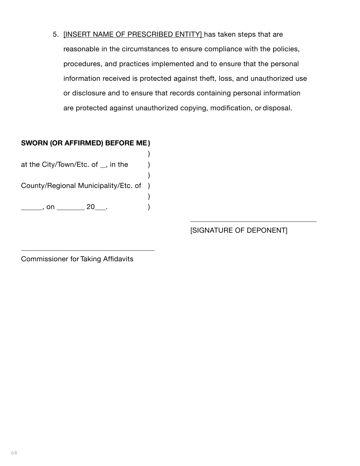5. [INSERT NAME OF PRESCRIBED ENTITY] has taken steps that are reasonable in the circumstances to ensure compliance with the policies, procedures, and practices implemented and to ensure that the personal information received is protected against theft, loss, and unauthorized use or disclosure and to ensure that records containing personal information are protected against unauthorized copying, modification, or disposal.

)

)

)

### **SWORN (OR AFFIRMED) BEFORE ME)**

at the City/Town/Etc. of  $\_,$  in the  $\)$ 

County/Regional Municipality/Etc. of )

<u>\_\_\_\_\_\_</u>, on \_\_\_\_\_\_\_ 20\_\_\_. )

[SIGNATURE OF DEPONENT]

Commissioner for Taking Affidavits

 $\overline{a}$